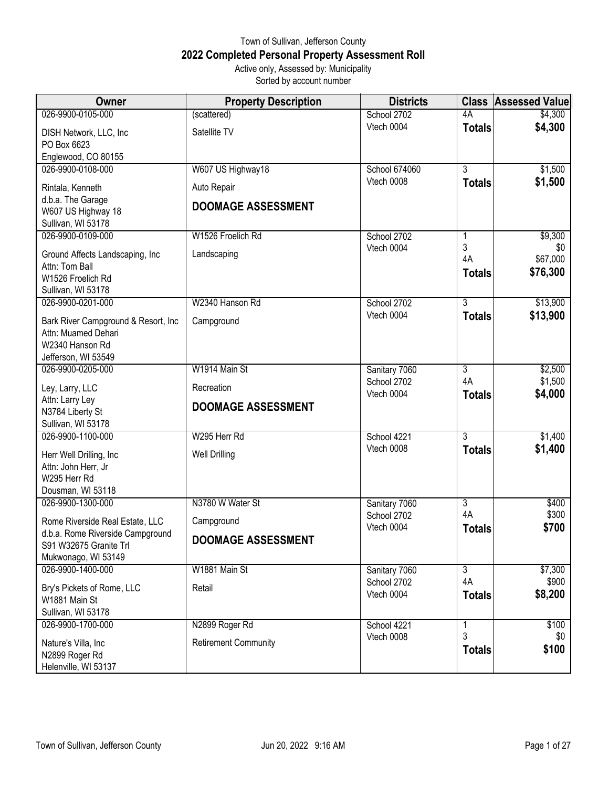## Town of Sullivan, Jefferson County **2022 Completed Personal Property Assessment Roll** Active only, Assessed by: Municipality Sorted by account number

| Owner                                                                                                 | <b>Property Description</b>              | <b>Districts</b>          | <b>Class</b>        | <b>Assessed Value</b> |
|-------------------------------------------------------------------------------------------------------|------------------------------------------|---------------------------|---------------------|-----------------------|
| 026-9900-0105-000                                                                                     | (scattered)                              | School 2702               | 4A                  | \$4,300               |
| DISH Network, LLC, Inc.<br>PO Box 6623<br>Englewood, CO 80155                                         | Satellite TV                             | Vtech 0004                | <b>Totals</b>       | \$4,300               |
| 026-9900-0108-000                                                                                     | W607 US Highway18                        | School 674060             | $\overline{3}$      | \$1,500               |
| Rintala, Kenneth<br>d.b.a. The Garage<br>W607 US Highway 18                                           | Auto Repair<br><b>DOOMAGE ASSESSMENT</b> | Vtech 0008                | <b>Totals</b>       | \$1,500               |
| Sullivan, WI 53178                                                                                    |                                          |                           |                     |                       |
| 026-9900-0109-000                                                                                     | W1526 Froelich Rd                        | School 2702<br>Vtech 0004 | 1<br>3              | \$9,300<br>\$0        |
| Ground Affects Landscaping, Inc<br>Attn: Tom Ball<br>W1526 Froelich Rd<br>Sullivan, WI 53178          | Landscaping                              |                           | 4A<br><b>Totals</b> | \$67,000<br>\$76,300  |
| 026-9900-0201-000                                                                                     | W2340 Hanson Rd                          | School 2702               | $\overline{3}$      | \$13,900              |
| Bark River Campground & Resort, Inc.<br>Attn: Muamed Dehari<br>W2340 Hanson Rd<br>Jefferson, WI 53549 | Campground                               | Vtech 0004                | <b>Totals</b>       | \$13,900              |
| 026-9900-0205-000                                                                                     | W1914 Main St                            | Sanitary 7060             | 3                   | \$2,500               |
| Ley, Larry, LLC                                                                                       | Recreation                               | School 2702<br>Vtech 0004 | 4A<br><b>Totals</b> | \$1,500<br>\$4,000    |
| Attn: Larry Ley<br>N3784 Liberty St<br>Sullivan, WI 53178                                             | <b>DOOMAGE ASSESSMENT</b>                |                           |                     |                       |
| 026-9900-1100-000                                                                                     | W295 Herr Rd                             | School 4221               | $\overline{3}$      | \$1,400               |
| Herr Well Drilling, Inc<br>Attn: John Herr, Jr<br>W295 Herr Rd<br>Dousman, WI 53118                   | <b>Well Drilling</b>                     | Vtech 0008                | <b>Totals</b>       | \$1,400               |
| 026-9900-1300-000                                                                                     | N3780 W Water St                         | Sanitary 7060             | $\overline{3}$      | \$400                 |
| Rome Riverside Real Estate, LLC                                                                       | Campground                               | School 2702<br>Vtech 0004 | 4A<br><b>Totals</b> | \$300<br>\$700        |
| d.b.a. Rome Riverside Campground<br>S91 W32675 Granite Trl<br>Mukwonago, WI 53149                     | <b>DOOMAGE ASSESSMENT</b>                |                           |                     |                       |
| 026-9900-1400-000                                                                                     | W1881 Main St                            | Sanitary 7060             | $\overline{3}$      | \$7,300               |
| Bry's Pickets of Rome, LLC<br>W1881 Main St<br>Sullivan, WI 53178                                     | Retail                                   | School 2702<br>Vtech 0004 | 4A<br><b>Totals</b> | \$900<br>\$8,200      |
| 026-9900-1700-000                                                                                     | N2899 Roger Rd                           | School 4221               | 1                   | \$100                 |
| Nature's Villa, Inc<br>N2899 Roger Rd<br>Helenville, WI 53137                                         | <b>Retirement Community</b>              | Vtech 0008                | 3<br><b>Totals</b>  | \$0<br>\$100          |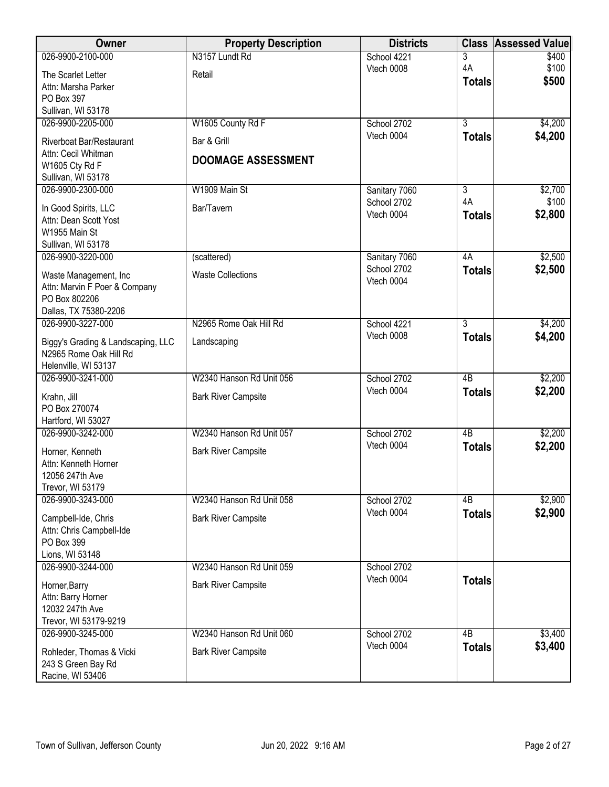| Owner                                          | <b>Property Description</b> | <b>Districts</b>             |                      | <b>Class Assessed Value</b> |
|------------------------------------------------|-----------------------------|------------------------------|----------------------|-----------------------------|
| 026-9900-2100-000                              | N3157 Lundt Rd              | School 4221                  | $\overline{3}$       | \$400                       |
| The Scarlet Letter                             | Retail                      | Vtech 0008                   | 4A                   | \$100<br>\$500              |
| Attn: Marsha Parker                            |                             |                              | <b>Totals</b>        |                             |
| PO Box 397                                     |                             |                              |                      |                             |
| Sullivan, WI 53178                             |                             |                              |                      |                             |
| 026-9900-2205-000                              | W1605 County Rd F           | School 2702                  | $\overline{3}$       | \$4,200                     |
| Riverboat Bar/Restaurant                       | Bar & Grill                 | Vtech 0004                   | <b>Totals</b>        | \$4,200                     |
| Attn: Cecil Whitman                            | <b>DOOMAGE ASSESSMENT</b>   |                              |                      |                             |
| W1605 Cty Rd F                                 |                             |                              |                      |                             |
| Sullivan, WI 53178                             |                             |                              |                      |                             |
| 026-9900-2300-000                              | W1909 Main St               | Sanitary 7060<br>School 2702 | $\overline{3}$<br>4A | \$2,700<br>\$100            |
| In Good Spirits, LLC                           | Bar/Tavern                  | Vtech 0004                   | <b>Totals</b>        | \$2,800                     |
| Attn: Dean Scott Yost                          |                             |                              |                      |                             |
| W1955 Main St                                  |                             |                              |                      |                             |
| Sullivan, WI 53178                             |                             |                              |                      |                             |
| 026-9900-3220-000                              | (scattered)                 | Sanitary 7060<br>School 2702 | 4A                   | \$2,500<br>\$2,500          |
| Waste Management, Inc                          | <b>Waste Collections</b>    | Vtech 0004                   | <b>Totals</b>        |                             |
| Attn: Marvin F Poer & Company                  |                             |                              |                      |                             |
| PO Box 802206                                  |                             |                              |                      |                             |
| Dallas, TX 75380-2206<br>026-9900-3227-000     | N2965 Rome Oak Hill Rd      | School 4221                  | $\overline{3}$       | \$4,200                     |
|                                                |                             | Vtech 0008                   | <b>Totals</b>        | \$4,200                     |
| Biggy's Grading & Landscaping, LLC             | Landscaping                 |                              |                      |                             |
| N2965 Rome Oak Hill Rd                         |                             |                              |                      |                             |
| Helenville, WI 53137<br>026-9900-3241-000      | W2340 Hanson Rd Unit 056    | School 2702                  | 4B                   | \$2,200                     |
|                                                |                             | Vtech 0004                   | <b>Totals</b>        | \$2,200                     |
| Krahn, Jill                                    | <b>Bark River Campsite</b>  |                              |                      |                             |
| PO Box 270074                                  |                             |                              |                      |                             |
| Hartford, WI 53027<br>026-9900-3242-000        | W2340 Hanson Rd Unit 057    | School 2702                  | 4B                   | \$2,200                     |
|                                                |                             | Vtech 0004                   |                      | \$2,200                     |
| Horner, Kenneth                                | <b>Bark River Campsite</b>  |                              | <b>Totals</b>        |                             |
| Attn: Kenneth Horner                           |                             |                              |                      |                             |
| 12056 247th Ave                                |                             |                              |                      |                             |
| Trevor, WI 53179<br>026-9900-3243-000          | W2340 Hanson Rd Unit 058    | School 2702                  | 4B                   | \$2,900                     |
|                                                |                             | Vtech 0004                   | <b>Totals</b>        | \$2,900                     |
| Campbell-Ide, Chris                            | <b>Bark River Campsite</b>  |                              |                      |                             |
| Attn: Chris Campbell-Ide                       |                             |                              |                      |                             |
| PO Box 399<br>Lions, WI 53148                  |                             |                              |                      |                             |
| 026-9900-3244-000                              | W2340 Hanson Rd Unit 059    | School 2702                  |                      |                             |
|                                                |                             | Vtech 0004                   | <b>Totals</b>        |                             |
| Horner, Barry                                  | <b>Bark River Campsite</b>  |                              |                      |                             |
| Attn: Barry Horner<br>12032 247th Ave          |                             |                              |                      |                             |
| Trevor, WI 53179-9219                          |                             |                              |                      |                             |
| 026-9900-3245-000                              | W2340 Hanson Rd Unit 060    | School 2702                  | 4B                   | \$3,400                     |
|                                                |                             | Vtech 0004                   | <b>Totals</b>        | \$3,400                     |
| Rohleder, Thomas & Vicki<br>243 S Green Bay Rd | <b>Bark River Campsite</b>  |                              |                      |                             |
| Racine, WI 53406                               |                             |                              |                      |                             |
|                                                |                             |                              |                      |                             |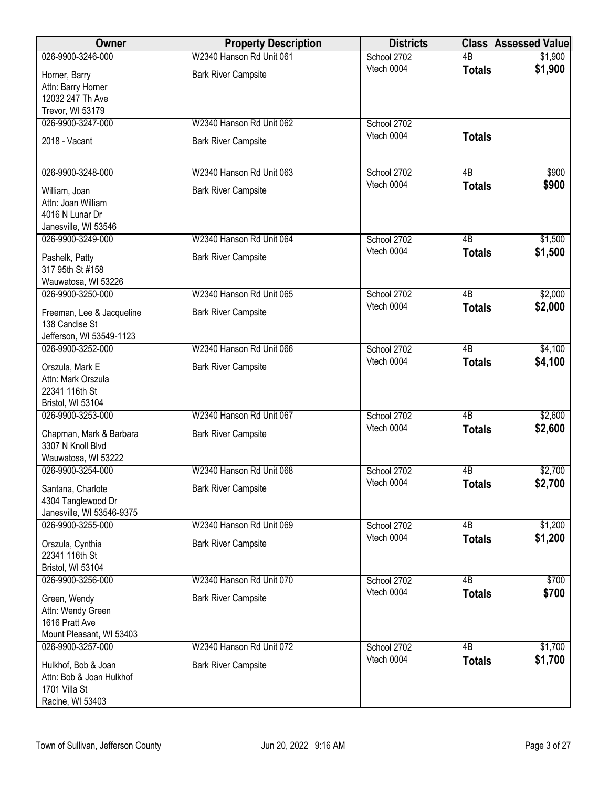| Owner                                        | <b>Property Description</b> | <b>Districts</b>          | <b>Class</b>    | <b>Assessed Value</b> |
|----------------------------------------------|-----------------------------|---------------------------|-----------------|-----------------------|
| 026-9900-3246-000                            | W2340 Hanson Rd Unit 061    | School 2702               | $\overline{AB}$ | \$1,900               |
| Horner, Barry                                | <b>Bark River Campsite</b>  | Vtech 0004                | <b>Totals</b>   | \$1,900               |
| Attn: Barry Horner                           |                             |                           |                 |                       |
| 12032 247 Th Ave                             |                             |                           |                 |                       |
| Trevor, WI 53179                             |                             |                           |                 |                       |
| 026-9900-3247-000                            | W2340 Hanson Rd Unit 062    | School 2702<br>Vtech 0004 |                 |                       |
| 2018 - Vacant                                | <b>Bark River Campsite</b>  |                           | <b>Totals</b>   |                       |
|                                              |                             |                           |                 |                       |
| 026-9900-3248-000                            | W2340 Hanson Rd Unit 063    | School 2702               | $\overline{AB}$ | \$900                 |
| William, Joan                                | <b>Bark River Campsite</b>  | Vtech 0004                | <b>Totals</b>   | \$900                 |
| Attn: Joan William                           |                             |                           |                 |                       |
| 4016 N Lunar Dr                              |                             |                           |                 |                       |
| Janesville, WI 53546                         |                             |                           |                 |                       |
| 026-9900-3249-000                            | W2340 Hanson Rd Unit 064    | School 2702               | 4B              | \$1,500               |
| Pashelk, Patty                               | <b>Bark River Campsite</b>  | Vtech 0004                | <b>Totals</b>   | \$1,500               |
| 317 95th St #158                             |                             |                           |                 |                       |
| Wauwatosa, WI 53226                          |                             |                           |                 |                       |
| 026-9900-3250-000                            | W2340 Hanson Rd Unit 065    | School 2702               | $\overline{AB}$ | \$2,000               |
| Freeman, Lee & Jacqueline                    | <b>Bark River Campsite</b>  | Vtech 0004                | <b>Totals</b>   | \$2,000               |
| 138 Candise St                               |                             |                           |                 |                       |
| Jefferson, WI 53549-1123                     |                             |                           |                 |                       |
| 026-9900-3252-000                            | W2340 Hanson Rd Unit 066    | School 2702<br>Vtech 0004 | $\overline{AB}$ | \$4,100               |
| Orszula, Mark E                              | <b>Bark River Campsite</b>  |                           | <b>Totals</b>   | \$4,100               |
| Attn: Mark Orszula                           |                             |                           |                 |                       |
| 22341 116th St<br>Bristol, WI 53104          |                             |                           |                 |                       |
| 026-9900-3253-000                            | W2340 Hanson Rd Unit 067    | School 2702               | 4B              | \$2,600               |
|                                              |                             | Vtech 0004                | <b>Totals</b>   | \$2,600               |
| Chapman, Mark & Barbara<br>3307 N Knoll Blvd | <b>Bark River Campsite</b>  |                           |                 |                       |
| Wauwatosa, WI 53222                          |                             |                           |                 |                       |
| 026-9900-3254-000                            | W2340 Hanson Rd Unit 068    | School 2702               | 4B              | \$2,700               |
| Santana, Charlote                            | <b>Bark River Campsite</b>  | Vtech 0004                | Totals          | \$2,700               |
| 4304 Tanglewood Dr                           |                             |                           |                 |                       |
| Janesville, WI 53546-9375                    |                             |                           |                 |                       |
| 026-9900-3255-000                            | W2340 Hanson Rd Unit 069    | School 2702               | 4B              | \$1,200               |
| Orszula, Cynthia                             | <b>Bark River Campsite</b>  | Vtech 0004                | <b>Totals</b>   | \$1,200               |
| 22341 116th St                               |                             |                           |                 |                       |
| Bristol, WI 53104                            |                             |                           |                 |                       |
| 026-9900-3256-000                            | W2340 Hanson Rd Unit 070    | School 2702               | $\overline{AB}$ | \$700                 |
| Green, Wendy                                 | <b>Bark River Campsite</b>  | Vtech 0004                | <b>Totals</b>   | \$700                 |
| Attn: Wendy Green                            |                             |                           |                 |                       |
| 1616 Pratt Ave                               |                             |                           |                 |                       |
| Mount Pleasant, WI 53403                     |                             |                           |                 |                       |
| 026-9900-3257-000                            | W2340 Hanson Rd Unit 072    | School 2702<br>Vtech 0004 | $\overline{AB}$ | \$1,700<br>\$1,700    |
| Hulkhof, Bob & Joan                          | <b>Bark River Campsite</b>  |                           | <b>Totals</b>   |                       |
| Attn: Bob & Joan Hulkhof<br>1701 Villa St    |                             |                           |                 |                       |
| Racine, WI 53403                             |                             |                           |                 |                       |
|                                              |                             |                           |                 |                       |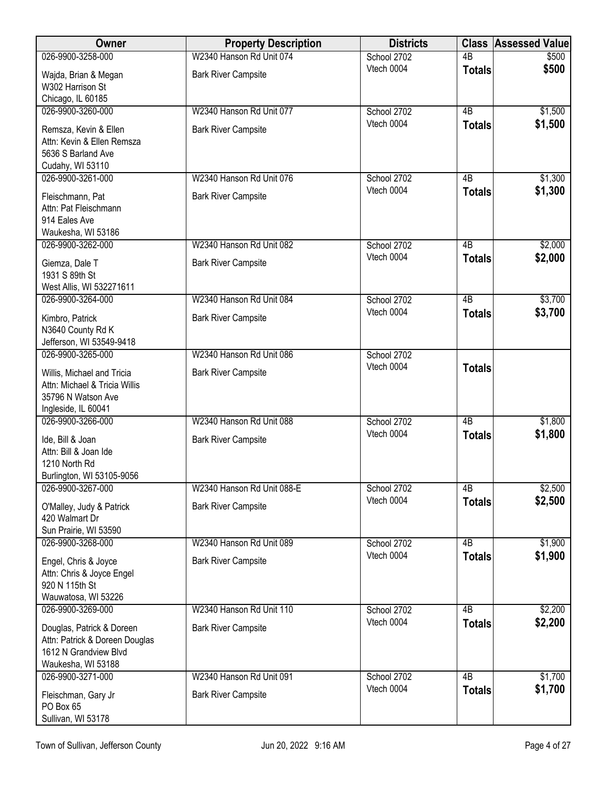| Owner                                                       | <b>Property Description</b> | <b>Districts</b>          | <b>Class</b>    | <b>Assessed Value</b> |
|-------------------------------------------------------------|-----------------------------|---------------------------|-----------------|-----------------------|
| 026-9900-3258-000                                           | W2340 Hanson Rd Unit 074    | School 2702               | $\overline{AB}$ | \$500                 |
| Wajda, Brian & Megan                                        | <b>Bark River Campsite</b>  | Vtech 0004                | <b>Totals</b>   | \$500                 |
| W302 Harrison St<br>Chicago, IL 60185                       |                             |                           |                 |                       |
| 026-9900-3260-000                                           | W2340 Hanson Rd Unit 077    | School 2702               | $\overline{AB}$ | \$1,500               |
| Remsza, Kevin & Ellen                                       | <b>Bark River Campsite</b>  | Vtech 0004                | <b>Totals</b>   | \$1,500               |
| Attn: Kevin & Ellen Remsza                                  |                             |                           |                 |                       |
| 5636 S Barland Ave                                          |                             |                           |                 |                       |
| Cudahy, WI 53110                                            | W2340 Hanson Rd Unit 076    |                           | 4B              |                       |
| 026-9900-3261-000                                           |                             | School 2702<br>Vtech 0004 | <b>Totals</b>   | \$1,300<br>\$1,300    |
| Fleischmann, Pat                                            | <b>Bark River Campsite</b>  |                           |                 |                       |
| Attn: Pat Fleischmann                                       |                             |                           |                 |                       |
| 914 Eales Ave<br>Waukesha, WI 53186                         |                             |                           |                 |                       |
| 026-9900-3262-000                                           | W2340 Hanson Rd Unit 082    | School 2702               | $\overline{AB}$ | \$2,000               |
|                                                             | <b>Bark River Campsite</b>  | Vtech 0004                | <b>Totals</b>   | \$2,000               |
| Giemza, Dale T<br>1931 S 89th St                            |                             |                           |                 |                       |
| West Allis, WI 532271611                                    |                             |                           |                 |                       |
| 026-9900-3264-000                                           | W2340 Hanson Rd Unit 084    | School 2702               | $\overline{AB}$ | \$3,700               |
| Kimbro, Patrick                                             | <b>Bark River Campsite</b>  | Vtech 0004                | <b>Totals</b>   | \$3,700               |
| N3640 County Rd K                                           |                             |                           |                 |                       |
| Jefferson, WI 53549-9418                                    |                             |                           |                 |                       |
| 026-9900-3265-000                                           | W2340 Hanson Rd Unit 086    | School 2702               |                 |                       |
| Willis, Michael and Tricia                                  | <b>Bark River Campsite</b>  | Vtech 0004                | <b>Totals</b>   |                       |
| Attn: Michael & Tricia Willis                               |                             |                           |                 |                       |
| 35796 N Watson Ave                                          |                             |                           |                 |                       |
| Ingleside, IL 60041<br>026-9900-3266-000                    | W2340 Hanson Rd Unit 088    | School 2702               | $\overline{AB}$ | \$1,800               |
|                                                             |                             | Vtech 0004                | <b>Totals</b>   | \$1,800               |
| Ide, Bill & Joan<br>Attn: Bill & Joan Ide                   | <b>Bark River Campsite</b>  |                           |                 |                       |
| 1210 North Rd                                               |                             |                           |                 |                       |
| Burlington, WI 53105-9056                                   |                             |                           |                 |                       |
| 026-9900-3267-000                                           | W2340 Hanson Rd Unit 088-E  | School 2702               | 4B              | \$2,500               |
| O'Malley, Judy & Patrick                                    | <b>Bark River Campsite</b>  | Vtech 0004                | <b>Totals</b>   | \$2,500               |
| 420 Walmart Dr                                              |                             |                           |                 |                       |
| Sun Prairie, WI 53590                                       |                             |                           |                 |                       |
| 026-9900-3268-000                                           | W2340 Hanson Rd Unit 089    | School 2702               | $\overline{AB}$ | \$1,900               |
| Engel, Chris & Joyce                                        | <b>Bark River Campsite</b>  | Vtech 0004                | <b>Totals</b>   | \$1,900               |
| Attn: Chris & Joyce Engel                                   |                             |                           |                 |                       |
| 920 N 115th St<br>Wauwatosa, WI 53226                       |                             |                           |                 |                       |
| 026-9900-3269-000                                           | W2340 Hanson Rd Unit 110    | School 2702               | 4B              | \$2,200               |
|                                                             |                             | Vtech 0004                | <b>Totals</b>   | \$2,200               |
| Douglas, Patrick & Doreen<br>Attn: Patrick & Doreen Douglas | <b>Bark River Campsite</b>  |                           |                 |                       |
| 1612 N Grandview Blvd                                       |                             |                           |                 |                       |
| Waukesha, WI 53188                                          |                             |                           |                 |                       |
| 026-9900-3271-000                                           | W2340 Hanson Rd Unit 091    | School 2702               | $\overline{AB}$ | \$1,700               |
| Fleischman, Gary Jr                                         | <b>Bark River Campsite</b>  | Vtech 0004                | <b>Totals</b>   | \$1,700               |
| PO Box 65                                                   |                             |                           |                 |                       |
| Sullivan, WI 53178                                          |                             |                           |                 |                       |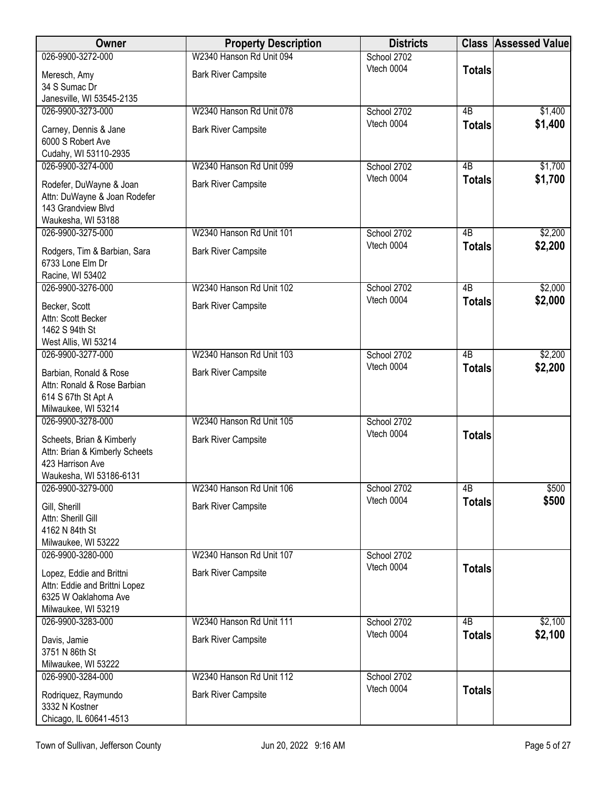| Owner                                            | <b>Property Description</b> | <b>Districts</b>          |               | <b>Class Assessed Value</b> |
|--------------------------------------------------|-----------------------------|---------------------------|---------------|-----------------------------|
| 026-9900-3272-000                                | W2340 Hanson Rd Unit 094    | School 2702               |               |                             |
| Meresch, Amy                                     | <b>Bark River Campsite</b>  | Vtech 0004                | <b>Totals</b> |                             |
| 34 S Sumac Dr                                    |                             |                           |               |                             |
| Janesville, WI 53545-2135                        |                             |                           |               |                             |
| 026-9900-3273-000                                | W2340 Hanson Rd Unit 078    | School 2702<br>Vtech 0004 | 4B            | \$1,400                     |
| Carney, Dennis & Jane                            | <b>Bark River Campsite</b>  |                           | <b>Totals</b> | \$1,400                     |
| 6000 S Robert Ave                                |                             |                           |               |                             |
| Cudahy, WI 53110-2935                            | W2340 Hanson Rd Unit 099    |                           | 4B            |                             |
| 026-9900-3274-000                                |                             | School 2702<br>Vtech 0004 | <b>Totals</b> | \$1,700<br>\$1,700          |
| Rodefer, DuWayne & Joan                          | <b>Bark River Campsite</b>  |                           |               |                             |
| Attn: DuWayne & Joan Rodefer                     |                             |                           |               |                             |
| 143 Grandview Blvd<br>Waukesha, WI 53188         |                             |                           |               |                             |
| 026-9900-3275-000                                | W2340 Hanson Rd Unit 101    | School 2702               | 4B            | \$2,200                     |
|                                                  |                             | Vtech 0004                | <b>Totals</b> | \$2,200                     |
| Rodgers, Tim & Barbian, Sara<br>6733 Lone Elm Dr | <b>Bark River Campsite</b>  |                           |               |                             |
| Racine, WI 53402                                 |                             |                           |               |                             |
| 026-9900-3276-000                                | W2340 Hanson Rd Unit 102    | School 2702               | 4B            | \$2,000                     |
| Becker, Scott                                    | <b>Bark River Campsite</b>  | Vtech 0004                | <b>Totals</b> | \$2,000                     |
| Attn: Scott Becker                               |                             |                           |               |                             |
| 1462 S 94th St                                   |                             |                           |               |                             |
| West Allis, WI 53214                             |                             |                           |               |                             |
| 026-9900-3277-000                                | W2340 Hanson Rd Unit 103    | School 2702               | 4B            | \$2,200                     |
| Barbian, Ronald & Rose                           | <b>Bark River Campsite</b>  | Vtech 0004                | <b>Totals</b> | \$2,200                     |
| Attn: Ronald & Rose Barbian                      |                             |                           |               |                             |
| 614 S 67th St Apt A                              |                             |                           |               |                             |
| Milwaukee, WI 53214                              |                             |                           |               |                             |
| 026-9900-3278-000                                | W2340 Hanson Rd Unit 105    | School 2702<br>Vtech 0004 |               |                             |
| Scheets, Brian & Kimberly                        | <b>Bark River Campsite</b>  |                           | <b>Totals</b> |                             |
| Attn: Brian & Kimberly Scheets                   |                             |                           |               |                             |
| 423 Harrison Ave<br>Waukesha, WI 53186-6131      |                             |                           |               |                             |
| 026-9900-3279-000                                | W2340 Hanson Rd Unit 106    | School 2702               | 4B            | \$500                       |
|                                                  |                             | Vtech 0004                | <b>Totals</b> | \$500                       |
| Gill, Sherill<br>Attn: Sherill Gill              | <b>Bark River Campsite</b>  |                           |               |                             |
| 4162 N 84th St                                   |                             |                           |               |                             |
| Milwaukee, WI 53222                              |                             |                           |               |                             |
| 026-9900-3280-000                                | W2340 Hanson Rd Unit 107    | School 2702               |               |                             |
| Lopez, Eddie and Brittni                         | <b>Bark River Campsite</b>  | Vtech 0004                | <b>Totals</b> |                             |
| Attn: Eddie and Brittni Lopez                    |                             |                           |               |                             |
| 6325 W Oaklahoma Ave                             |                             |                           |               |                             |
| Milwaukee, WI 53219                              |                             |                           |               |                             |
| 026-9900-3283-000                                | W2340 Hanson Rd Unit 111    | School 2702<br>Vtech 0004 | 4B            | \$2,100                     |
| Davis, Jamie                                     | <b>Bark River Campsite</b>  |                           | <b>Totals</b> | \$2,100                     |
| 3751 N 86th St                                   |                             |                           |               |                             |
| Milwaukee, WI 53222                              |                             |                           |               |                             |
| 026-9900-3284-000                                | W2340 Hanson Rd Unit 112    | School 2702<br>Vtech 0004 | <b>Totals</b> |                             |
| Rodriquez, Raymundo                              | <b>Bark River Campsite</b>  |                           |               |                             |
| 3332 N Kostner                                   |                             |                           |               |                             |
| Chicago, IL 60641-4513                           |                             |                           |               |                             |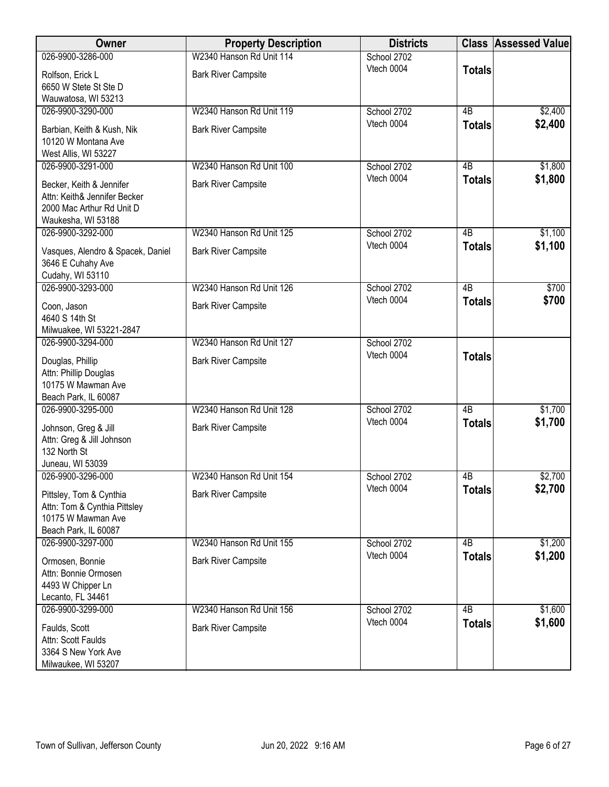| Owner                                                                                                 | <b>Property Description</b>                            | <b>Districts</b>          |                     | <b>Class Assessed Value</b> |
|-------------------------------------------------------------------------------------------------------|--------------------------------------------------------|---------------------------|---------------------|-----------------------------|
| 026-9900-3286-000                                                                                     | W2340 Hanson Rd Unit 114                               | School 2702               |                     |                             |
| Rolfson, Erick L<br>6650 W Stete St Ste D                                                             | <b>Bark River Campsite</b>                             | Vtech 0004                | <b>Totals</b>       |                             |
| Wauwatosa, WI 53213                                                                                   |                                                        |                           |                     |                             |
| 026-9900-3290-000                                                                                     | W2340 Hanson Rd Unit 119                               | School 2702               | 4B                  | \$2,400                     |
| Barbian, Keith & Kush, Nik<br>10120 W Montana Ave<br>West Allis, WI 53227                             | <b>Bark River Campsite</b>                             | Vtech 0004                | <b>Totals</b>       | \$2,400                     |
| 026-9900-3291-000                                                                                     | W2340 Hanson Rd Unit 100                               | School 2702               | 4B                  | \$1,800                     |
| Becker, Keith & Jennifer<br>Attn: Keith& Jennifer Becker<br>2000 Mac Arthur Rd Unit D                 | <b>Bark River Campsite</b>                             | Vtech 0004                | <b>Totals</b>       | \$1,800                     |
| Waukesha, WI 53188                                                                                    |                                                        |                           |                     |                             |
| 026-9900-3292-000<br>Vasques, Alendro & Spacek, Daniel<br>3646 E Cuhahy Ave<br>Cudahy, WI 53110       | W2340 Hanson Rd Unit 125<br><b>Bark River Campsite</b> | School 2702<br>Vtech 0004 | 4B<br><b>Totals</b> | \$1,100<br>\$1,100          |
| 026-9900-3293-000                                                                                     | W2340 Hanson Rd Unit 126                               | School 2702               | $\overline{AB}$     | \$700                       |
| Coon, Jason<br>4640 S 14th St<br>Milwuakee, WI 53221-2847                                             | <b>Bark River Campsite</b>                             | Vtech 0004                | <b>Totals</b>       | \$700                       |
| 026-9900-3294-000                                                                                     | W2340 Hanson Rd Unit 127                               | School 2702               |                     |                             |
| Douglas, Phillip<br>Attn: Phillip Douglas<br>10175 W Mawman Ave<br>Beach Park, IL 60087               | <b>Bark River Campsite</b>                             | Vtech 0004                | <b>Totals</b>       |                             |
| 026-9900-3295-000                                                                                     | W2340 Hanson Rd Unit 128                               | School 2702               | 4B                  | \$1,700                     |
| Johnson, Greg & Jill<br>Attn: Greg & Jill Johnson<br>132 North St<br>Juneau, WI 53039                 | <b>Bark River Campsite</b>                             | Vtech 0004                | <b>Totals</b>       | \$1,700                     |
| 026-9900-3296-000                                                                                     | W2340 Hanson Rd Unit 154                               | School 2702               | 4B                  | \$2,700                     |
| Pittsley, Tom & Cynthia<br>Attn: Tom & Cynthia Pittsley<br>10175 W Mawman Ave<br>Beach Park, IL 60087 | <b>Bark River Campsite</b>                             | Vtech 0004                | <b>Totals</b>       | \$2,700                     |
| 026-9900-3297-000                                                                                     | W2340 Hanson Rd Unit 155                               | School 2702               | 4 <sub>B</sub>      | \$1,200                     |
| Ormosen, Bonnie<br>Attn: Bonnie Ormosen<br>4493 W Chipper Ln<br>Lecanto, FL 34461                     | <b>Bark River Campsite</b>                             | Vtech 0004                | <b>Totals</b>       | \$1,200                     |
| 026-9900-3299-000                                                                                     | W2340 Hanson Rd Unit 156                               | School 2702               | $\overline{AB}$     | \$1,600                     |
| Faulds, Scott<br>Attn: Scott Faulds<br>3364 S New York Ave<br>Milwaukee, WI 53207                     | <b>Bark River Campsite</b>                             | Vtech 0004                | <b>Totals</b>       | \$1,600                     |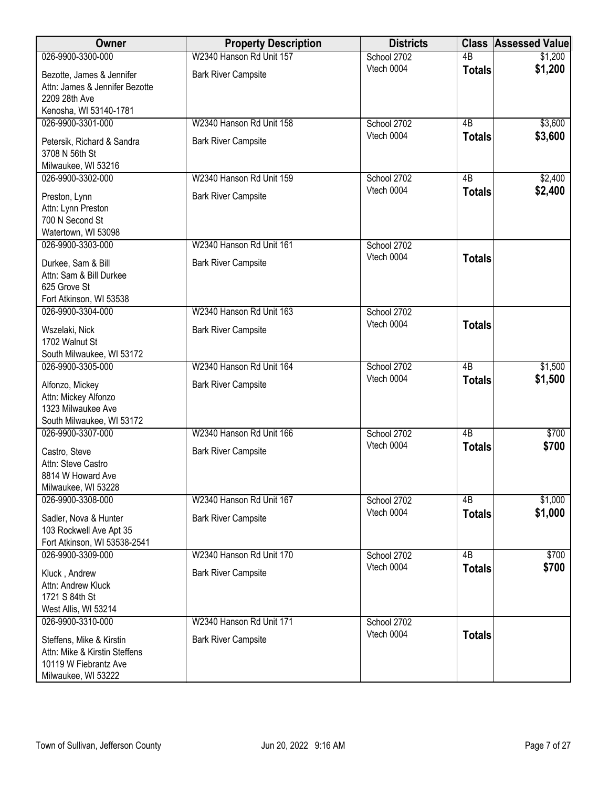| Owner                                   | <b>Property Description</b> | <b>Districts</b>          |                 | <b>Class Assessed Value</b> |
|-----------------------------------------|-----------------------------|---------------------------|-----------------|-----------------------------|
| 026-9900-3300-000                       | W2340 Hanson Rd Unit 157    | School 2702               | $\overline{AB}$ | \$1,200                     |
| Bezotte, James & Jennifer               | <b>Bark River Campsite</b>  | Vtech 0004                | <b>Totals</b>   | \$1,200                     |
| Attn: James & Jennifer Bezotte          |                             |                           |                 |                             |
| 2209 28th Ave                           |                             |                           |                 |                             |
| Kenosha, WI 53140-1781                  |                             |                           |                 |                             |
| 026-9900-3301-000                       | W2340 Hanson Rd Unit 158    | School 2702               | 4B              | \$3,600                     |
| Petersik, Richard & Sandra              | <b>Bark River Campsite</b>  | Vtech 0004                | <b>Totals</b>   | \$3,600                     |
| 3708 N 56th St                          |                             |                           |                 |                             |
| Milwaukee, WI 53216                     |                             |                           |                 |                             |
| 026-9900-3302-000                       | W2340 Hanson Rd Unit 159    | School 2702               | 4B              | \$2,400                     |
|                                         |                             | Vtech 0004                | <b>Totals</b>   | \$2,400                     |
| Preston, Lynn<br>Attn: Lynn Preston     | <b>Bark River Campsite</b>  |                           |                 |                             |
| 700 N Second St                         |                             |                           |                 |                             |
| Watertown, WI 53098                     |                             |                           |                 |                             |
| 026-9900-3303-000                       | W2340 Hanson Rd Unit 161    | School 2702               |                 |                             |
|                                         |                             | Vtech 0004                | <b>Totals</b>   |                             |
| Durkee, Sam & Bill                      | <b>Bark River Campsite</b>  |                           |                 |                             |
| Attn: Sam & Bill Durkee<br>625 Grove St |                             |                           |                 |                             |
| Fort Atkinson, WI 53538                 |                             |                           |                 |                             |
| 026-9900-3304-000                       | W2340 Hanson Rd Unit 163    | School 2702               |                 |                             |
|                                         |                             | Vtech 0004                | <b>Totals</b>   |                             |
| Wszelaki, Nick                          | <b>Bark River Campsite</b>  |                           |                 |                             |
| 1702 Walnut St                          |                             |                           |                 |                             |
| South Milwaukee, WI 53172               | W2340 Hanson Rd Unit 164    |                           | $\overline{AB}$ |                             |
| 026-9900-3305-000                       |                             | School 2702<br>Vtech 0004 |                 | \$1,500<br>\$1,500          |
| Alfonzo, Mickey                         | <b>Bark River Campsite</b>  |                           | <b>Totals</b>   |                             |
| Attn: Mickey Alfonzo                    |                             |                           |                 |                             |
| 1323 Milwaukee Ave                      |                             |                           |                 |                             |
| South Milwaukee, WI 53172               |                             |                           |                 |                             |
| 026-9900-3307-000                       | W2340 Hanson Rd Unit 166    | School 2702<br>Vtech 0004 | $\overline{AB}$ | \$700                       |
| Castro, Steve                           | <b>Bark River Campsite</b>  |                           | <b>Totals</b>   | \$700                       |
| Attn: Steve Castro                      |                             |                           |                 |                             |
| 8814 W Howard Ave                       |                             |                           |                 |                             |
| Milwaukee, WI 53228                     |                             |                           |                 |                             |
| 026-9900-3308-000                       | W2340 Hanson Rd Unit 167    | School 2702               | 4B              | \$1,000                     |
| Sadler, Nova & Hunter                   | <b>Bark River Campsite</b>  | Vtech 0004                | <b>Totals</b>   | \$1,000                     |
| 103 Rockwell Ave Apt 35                 |                             |                           |                 |                             |
| Fort Atkinson, WI 53538-2541            |                             |                           |                 |                             |
| 026-9900-3309-000                       | W2340 Hanson Rd Unit 170    | School 2702               | 4B              | \$700                       |
| Kluck, Andrew                           | <b>Bark River Campsite</b>  | Vtech 0004                | <b>Totals</b>   | \$700                       |
| Attn: Andrew Kluck                      |                             |                           |                 |                             |
| 1721 S 84th St                          |                             |                           |                 |                             |
| West Allis, WI 53214                    |                             |                           |                 |                             |
| 026-9900-3310-000                       | W2340 Hanson Rd Unit 171    | School 2702               |                 |                             |
| Steffens, Mike & Kirstin                | <b>Bark River Campsite</b>  | Vtech 0004                | <b>Totals</b>   |                             |
| Attn: Mike & Kirstin Steffens           |                             |                           |                 |                             |
| 10119 W Fiebrantz Ave                   |                             |                           |                 |                             |
| Milwaukee, WI 53222                     |                             |                           |                 |                             |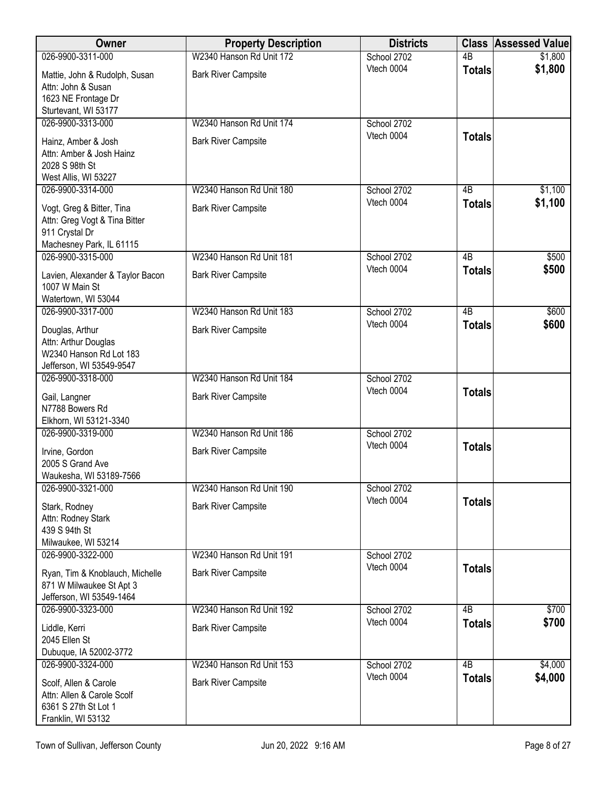| <b>Owner</b>                                                                                                           | <b>Property Description</b>                            | <b>Districts</b>          |                 | <b>Class Assessed Value</b> |
|------------------------------------------------------------------------------------------------------------------------|--------------------------------------------------------|---------------------------|-----------------|-----------------------------|
| 026-9900-3311-000                                                                                                      | W2340 Hanson Rd Unit 172                               | School 2702               | 4B              | \$1,800                     |
| Mattie, John & Rudolph, Susan<br>Attn: John & Susan<br>1623 NE Frontage Dr                                             | <b>Bark River Campsite</b>                             | Vtech 0004                | <b>Totals</b>   | \$1,800                     |
| Sturtevant, WI 53177                                                                                                   |                                                        |                           |                 |                             |
| 026-9900-3313-000                                                                                                      | W2340 Hanson Rd Unit 174                               | School 2702               |                 |                             |
| Hainz, Amber & Josh<br>Attn: Amber & Josh Hainz<br>2028 S 98th St<br>West Allis, WI 53227                              | <b>Bark River Campsite</b>                             | Vtech 0004                | <b>Totals</b>   |                             |
| 026-9900-3314-000                                                                                                      | W2340 Hanson Rd Unit 180                               | School 2702               | 4B              | \$1,100                     |
| Vogt, Greg & Bitter, Tina<br>Attn: Greg Vogt & Tina Bitter<br>911 Crystal Dr<br>Machesney Park, IL 61115               | <b>Bark River Campsite</b>                             | Vtech 0004                | <b>Totals</b>   | \$1,100                     |
| 026-9900-3315-000                                                                                                      | W2340 Hanson Rd Unit 181                               | School 2702               | $\overline{AB}$ | \$500                       |
| Lavien, Alexander & Taylor Bacon<br>1007 W Main St<br>Watertown, WI 53044                                              | <b>Bark River Campsite</b>                             | Vtech 0004                | <b>Totals</b>   | \$500                       |
| 026-9900-3317-000                                                                                                      | W2340 Hanson Rd Unit 183                               | School 2702               | $\overline{AB}$ | \$600                       |
| Douglas, Arthur<br>Attn: Arthur Douglas<br>W2340 Hanson Rd Lot 183<br>Jefferson, WI 53549-9547                         | <b>Bark River Campsite</b>                             | Vtech 0004                | <b>Totals</b>   | \$600                       |
| 026-9900-3318-000                                                                                                      | W2340 Hanson Rd Unit 184                               | School 2702               |                 |                             |
| Gail, Langner<br>N7788 Bowers Rd<br>Elkhorn, WI 53121-3340                                                             | <b>Bark River Campsite</b>                             | Vtech 0004                | <b>Totals</b>   |                             |
| 026-9900-3319-000                                                                                                      | W2340 Hanson Rd Unit 186                               | School 2702               |                 |                             |
| Irvine, Gordon<br>2005 S Grand Ave<br>Waukesha, WI 53189-7566                                                          | <b>Bark River Campsite</b>                             | Vtech 0004                | <b>Totals</b>   |                             |
| 026-9900-3321-000                                                                                                      | W2340 Hanson Rd Unit 190                               | School 2702               |                 |                             |
| Stark, Rodney<br>Attn: Rodney Stark<br>439 S 94th St<br>Milwaukee, WI 53214                                            | <b>Bark River Campsite</b>                             | Vtech 0004                | <b>Totals</b>   |                             |
| 026-9900-3322-000                                                                                                      | W2340 Hanson Rd Unit 191                               | School 2702               |                 |                             |
| Ryan, Tim & Knoblauch, Michelle<br>871 W Milwaukee St Apt 3<br>Jefferson, WI 53549-1464                                | <b>Bark River Campsite</b>                             | Vtech 0004                | <b>Totals</b>   |                             |
| 026-9900-3323-000                                                                                                      | W2340 Hanson Rd Unit 192                               | School 2702               | 4B              | \$700                       |
| Liddle, Kerri<br>2045 Ellen St                                                                                         | <b>Bark River Campsite</b>                             | Vtech 0004                | <b>Totals</b>   | \$700                       |
| Dubuque, IA 52002-3772                                                                                                 |                                                        |                           | $\overline{AB}$ |                             |
| 026-9900-3324-000<br>Scolf, Allen & Carole<br>Attn: Allen & Carole Scolf<br>6361 S 27th St Lot 1<br>Franklin, WI 53132 | W2340 Hanson Rd Unit 153<br><b>Bark River Campsite</b> | School 2702<br>Vtech 0004 | <b>Totals</b>   | \$4,000<br>\$4,000          |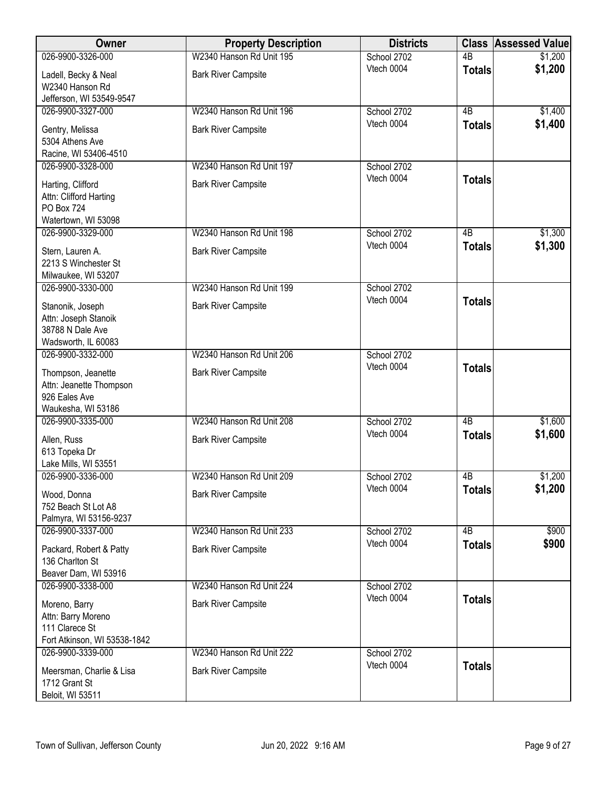| Owner                                             | <b>Property Description</b> | <b>Districts</b> | <b>Class</b>    | <b>Assessed Value</b> |
|---------------------------------------------------|-----------------------------|------------------|-----------------|-----------------------|
| 026-9900-3326-000                                 | W2340 Hanson Rd Unit 195    | School 2702      | $\overline{AB}$ | \$1,200               |
| Ladell, Becky & Neal                              | <b>Bark River Campsite</b>  | Vtech 0004       | <b>Totals</b>   | \$1,200               |
| W2340 Hanson Rd                                   |                             |                  |                 |                       |
| Jefferson, WI 53549-9547                          |                             |                  |                 |                       |
| 026-9900-3327-000                                 | W2340 Hanson Rd Unit 196    | School 2702      | $\overline{AB}$ | \$1,400               |
| Gentry, Melissa                                   | <b>Bark River Campsite</b>  | Vtech 0004       | <b>Totals</b>   | \$1,400               |
| 5304 Athens Ave                                   |                             |                  |                 |                       |
| Racine, WI 53406-4510                             |                             |                  |                 |                       |
| 026-9900-3328-000                                 | W2340 Hanson Rd Unit 197    | School 2702      |                 |                       |
| Harting, Clifford                                 | <b>Bark River Campsite</b>  | Vtech 0004       | <b>Totals</b>   |                       |
| Attn: Clifford Harting                            |                             |                  |                 |                       |
| <b>PO Box 724</b>                                 |                             |                  |                 |                       |
| Watertown, WI 53098<br>026-9900-3329-000          | W2340 Hanson Rd Unit 198    | School 2702      | 4B              | \$1,300               |
|                                                   |                             | Vtech 0004       | <b>Totals</b>   | \$1,300               |
| Stern, Lauren A.                                  | <b>Bark River Campsite</b>  |                  |                 |                       |
| 2213 S Winchester St                              |                             |                  |                 |                       |
| Milwaukee, WI 53207<br>026-9900-3330-000          | W2340 Hanson Rd Unit 199    | School 2702      |                 |                       |
|                                                   |                             | Vtech 0004       | <b>Totals</b>   |                       |
| Stanonik, Joseph                                  | <b>Bark River Campsite</b>  |                  |                 |                       |
| Attn: Joseph Stanoik<br>38788 N Dale Ave          |                             |                  |                 |                       |
| Wadsworth, IL 60083                               |                             |                  |                 |                       |
| 026-9900-3332-000                                 | W2340 Hanson Rd Unit 206    | School 2702      |                 |                       |
|                                                   |                             | Vtech 0004       | <b>Totals</b>   |                       |
| Thompson, Jeanette<br>Attn: Jeanette Thompson     | <b>Bark River Campsite</b>  |                  |                 |                       |
| 926 Eales Ave                                     |                             |                  |                 |                       |
| Waukesha, WI 53186                                |                             |                  |                 |                       |
| 026-9900-3335-000                                 | W2340 Hanson Rd Unit 208    | School 2702      | $\overline{AB}$ | \$1,600               |
| Allen, Russ                                       | <b>Bark River Campsite</b>  | Vtech 0004       | <b>Totals</b>   | \$1,600               |
| 613 Topeka Dr                                     |                             |                  |                 |                       |
| Lake Mills, WI 53551                              |                             |                  |                 |                       |
| 026-9900-3336-000                                 | W2340 Hanson Rd Unit 209    | School 2702      | 4B              | \$1,200               |
| Wood, Donna                                       | <b>Bark River Campsite</b>  | Vtech 0004       | <b>Totals</b>   | \$1,200               |
| 752 Beach St Lot A8                               |                             |                  |                 |                       |
| Palmyra, WI 53156-9237                            |                             |                  |                 |                       |
| 026-9900-3337-000                                 | W2340 Hanson Rd Unit 233    | School 2702      | 4B              | \$900                 |
| Packard, Robert & Patty                           | <b>Bark River Campsite</b>  | Vtech 0004       | <b>Totals</b>   | \$900                 |
| 136 Charlton St                                   |                             |                  |                 |                       |
| Beaver Dam, WI 53916                              |                             |                  |                 |                       |
| 026-9900-3338-000                                 | W2340 Hanson Rd Unit 224    | School 2702      |                 |                       |
| Moreno, Barry                                     | <b>Bark River Campsite</b>  | Vtech 0004       | <b>Totals</b>   |                       |
| Attn: Barry Moreno                                |                             |                  |                 |                       |
| 111 Clarece St                                    |                             |                  |                 |                       |
| Fort Atkinson, WI 53538-1842<br>026-9900-3339-000 | W2340 Hanson Rd Unit 222    | School 2702      |                 |                       |
|                                                   |                             | Vtech 0004       | <b>Totals</b>   |                       |
| Meersman, Charlie & Lisa                          | <b>Bark River Campsite</b>  |                  |                 |                       |
| 1712 Grant St                                     |                             |                  |                 |                       |
| Beloit, WI 53511                                  |                             |                  |                 |                       |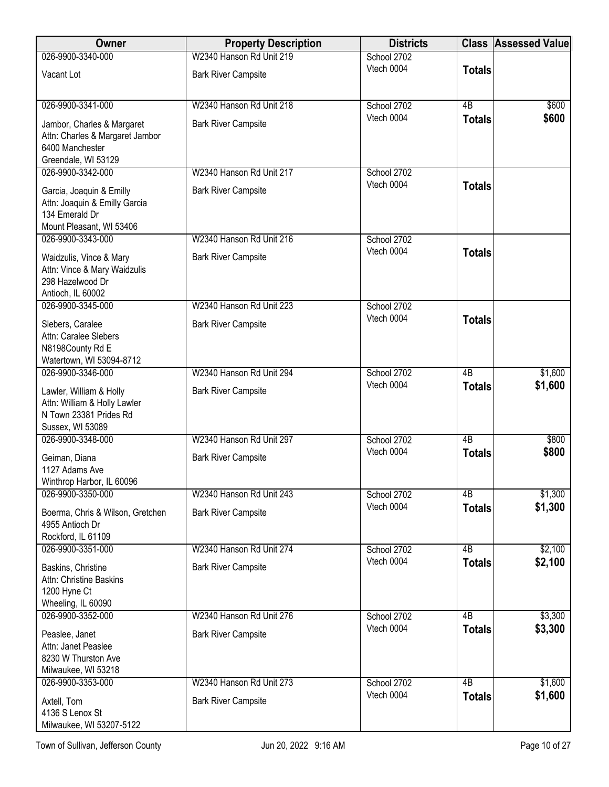| Owner                                                                                                   | <b>Property Description</b>                            | <b>Districts</b>          |                     | <b>Class Assessed Value</b> |
|---------------------------------------------------------------------------------------------------------|--------------------------------------------------------|---------------------------|---------------------|-----------------------------|
| 026-9900-3340-000                                                                                       | W2340 Hanson Rd Unit 219                               | School 2702               |                     |                             |
| Vacant Lot                                                                                              | <b>Bark River Campsite</b>                             | Vtech 0004                | <b>Totals</b>       |                             |
| 026-9900-3341-000                                                                                       | W2340 Hanson Rd Unit 218                               | School 2702               | $\overline{AB}$     | \$600                       |
| Jambor, Charles & Margaret<br>Attn: Charles & Margaret Jambor<br>6400 Manchester                        | <b>Bark River Campsite</b>                             | Vtech 0004                | <b>Totals</b>       | \$600                       |
| Greendale, WI 53129                                                                                     |                                                        |                           |                     |                             |
| 026-9900-3342-000                                                                                       | W2340 Hanson Rd Unit 217                               | School 2702               |                     |                             |
| Garcia, Joaquin & Emilly<br>Attn: Joaquin & Emilly Garcia<br>134 Emerald Dr<br>Mount Pleasant, WI 53406 | <b>Bark River Campsite</b>                             | Vtech 0004                | <b>Totals</b>       |                             |
| 026-9900-3343-000                                                                                       | W2340 Hanson Rd Unit 216                               | School 2702               |                     |                             |
| Waidzulis, Vince & Mary<br>Attn: Vince & Mary Waidzulis<br>298 Hazelwood Dr<br>Antioch, IL 60002        | <b>Bark River Campsite</b>                             | Vtech 0004                | <b>Totals</b>       |                             |
| 026-9900-3345-000                                                                                       | W2340 Hanson Rd Unit 223                               | School 2702               |                     |                             |
| Slebers, Caralee<br>Attn: Caralee Slebers<br>N8198County Rd E<br>Watertown, WI 53094-8712               | <b>Bark River Campsite</b>                             | Vtech 0004                | <b>Totals</b>       |                             |
| 026-9900-3346-000                                                                                       | W2340 Hanson Rd Unit 294                               | School 2702               | $\overline{AB}$     | \$1,600                     |
| Lawler, William & Holly<br>Attn: William & Holly Lawler<br>N Town 23381 Prides Rd<br>Sussex, WI 53089   | <b>Bark River Campsite</b>                             | Vtech 0004                | <b>Totals</b>       | \$1,600                     |
| 026-9900-3348-000                                                                                       | W2340 Hanson Rd Unit 297                               | School 2702               | $\overline{AB}$     | \$800                       |
| Geiman, Diana<br>1127 Adams Ave                                                                         | <b>Bark River Campsite</b>                             | Vtech 0004                | <b>Totals</b>       | \$800                       |
| Winthrop Harbor, IL 60096                                                                               |                                                        |                           |                     |                             |
| 026-9900-3350-000<br>Boerma, Chris & Wilson, Gretchen<br>4955 Antioch Dr                                | W2340 Hanson Rd Unit 243<br><b>Bark River Campsite</b> | School 2702<br>Vtech 0004 | 4B<br><b>Totals</b> | \$1,300<br>\$1,300          |
| Rockford, IL 61109<br>026-9900-3351-000                                                                 | W2340 Hanson Rd Unit 274                               | School 2702               | 4B                  | \$2,100                     |
| Baskins, Christine<br>Attn: Christine Baskins<br>1200 Hyne Ct<br>Wheeling, IL 60090                     | <b>Bark River Campsite</b>                             | Vtech 0004                | <b>Totals</b>       | \$2,100                     |
| 026-9900-3352-000                                                                                       | W2340 Hanson Rd Unit 276                               | School 2702               | 4B                  | \$3,300                     |
| Peaslee, Janet<br>Attn: Janet Peaslee<br>8230 W Thurston Ave<br>Milwaukee, WI 53218                     | <b>Bark River Campsite</b>                             | Vtech 0004                | <b>Totals</b>       | \$3,300                     |
| 026-9900-3353-000                                                                                       | W2340 Hanson Rd Unit 273                               | School 2702               | 4B                  | \$1,600                     |
| Axtell, Tom<br>4136 S Lenox St<br>Milwaukee, WI 53207-5122                                              | <b>Bark River Campsite</b>                             | Vtech 0004                | <b>Totals</b>       | \$1,600                     |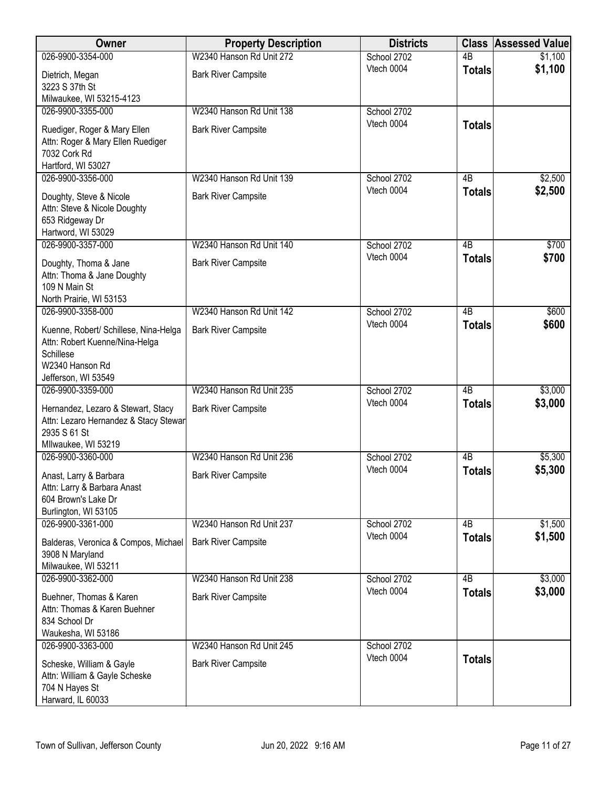| Owner                                                                       | <b>Property Description</b> | <b>Districts</b>          | <b>Class</b>    | <b>Assessed Value</b> |
|-----------------------------------------------------------------------------|-----------------------------|---------------------------|-----------------|-----------------------|
| 026-9900-3354-000                                                           | W2340 Hanson Rd Unit 272    | School 2702               | 4B              | \$1,100               |
| Dietrich, Megan                                                             | <b>Bark River Campsite</b>  | Vtech 0004                | <b>Totals</b>   | \$1,100               |
| 3223 S 37th St                                                              |                             |                           |                 |                       |
| Milwaukee, WI 53215-4123                                                    |                             |                           |                 |                       |
| 026-9900-3355-000                                                           | W2340 Hanson Rd Unit 138    | School 2702               |                 |                       |
| Ruediger, Roger & Mary Ellen                                                | <b>Bark River Campsite</b>  | Vtech 0004                | <b>Totals</b>   |                       |
| Attn: Roger & Mary Ellen Ruediger                                           |                             |                           |                 |                       |
| 7032 Cork Rd                                                                |                             |                           |                 |                       |
| Hartford, WI 53027                                                          |                             |                           |                 |                       |
| 026-9900-3356-000                                                           | W2340 Hanson Rd Unit 139    | School 2702               | 4B              | \$2,500               |
| Doughty, Steve & Nicole                                                     | <b>Bark River Campsite</b>  | Vtech 0004                | <b>Totals</b>   | \$2,500               |
| Attn: Steve & Nicole Doughty                                                |                             |                           |                 |                       |
| 653 Ridgeway Dr                                                             |                             |                           |                 |                       |
| Hartword, WI 53029                                                          |                             |                           |                 |                       |
| 026-9900-3357-000                                                           | W2340 Hanson Rd Unit 140    | School 2702               | 4B              | \$700                 |
| Doughty, Thoma & Jane                                                       | <b>Bark River Campsite</b>  | Vtech 0004                | <b>Totals</b>   | \$700                 |
| Attn: Thoma & Jane Doughty                                                  |                             |                           |                 |                       |
| 109 N Main St                                                               |                             |                           |                 |                       |
| North Prairie, WI 53153                                                     | W2340 Hanson Rd Unit 142    |                           | $\overline{AB}$ |                       |
| 026-9900-3358-000                                                           |                             | School 2702<br>Vtech 0004 |                 | \$600<br>\$600        |
| Kuenne, Robert/ Schillese, Nina-Helga                                       | <b>Bark River Campsite</b>  |                           | <b>Totals</b>   |                       |
| Attn: Robert Kuenne/Nina-Helga                                              |                             |                           |                 |                       |
| Schillese<br>W2340 Hanson Rd                                                |                             |                           |                 |                       |
| Jefferson, WI 53549                                                         |                             |                           |                 |                       |
| 026-9900-3359-000                                                           | W2340 Hanson Rd Unit 235    | School 2702               | $\overline{AB}$ | \$3,000               |
|                                                                             |                             | Vtech 0004                | <b>Totals</b>   | \$3,000               |
| Hernandez, Lezaro & Stewart, Stacy<br>Attn: Lezaro Hernandez & Stacy Stewar | <b>Bark River Campsite</b>  |                           |                 |                       |
| 2935 S 61 St                                                                |                             |                           |                 |                       |
| Mllwaukee, WI 53219                                                         |                             |                           |                 |                       |
| 026-9900-3360-000                                                           | W2340 Hanson Rd Unit 236    | School 2702               | 4B              | \$5,300               |
| Anast, Larry & Barbara                                                      | <b>Bark River Campsite</b>  | Vtech 0004                | <b>Totals</b>   | \$5,300               |
| Attn: Larry & Barbara Anast                                                 |                             |                           |                 |                       |
| 604 Brown's Lake Dr                                                         |                             |                           |                 |                       |
| Burlington, WI 53105                                                        |                             |                           |                 |                       |
| 026-9900-3361-000                                                           | W2340 Hanson Rd Unit 237    | School 2702               | 4B              | \$1,500               |
| Balderas, Veronica & Compos, Michael                                        | <b>Bark River Campsite</b>  | Vtech 0004                | <b>Totals</b>   | \$1,500               |
| 3908 N Maryland                                                             |                             |                           |                 |                       |
| Milwaukee, WI 53211                                                         |                             |                           |                 |                       |
| 026-9900-3362-000                                                           | W2340 Hanson Rd Unit 238    | School 2702               | 4B              | \$3,000               |
| Buehner, Thomas & Karen                                                     | <b>Bark River Campsite</b>  | Vtech 0004                | <b>Totals</b>   | \$3,000               |
| Attn: Thomas & Karen Buehner                                                |                             |                           |                 |                       |
| 834 School Dr                                                               |                             |                           |                 |                       |
| Waukesha, WI 53186                                                          |                             |                           |                 |                       |
| 026-9900-3363-000                                                           | W2340 Hanson Rd Unit 245    | School 2702               |                 |                       |
| Scheske, William & Gayle                                                    | <b>Bark River Campsite</b>  | Vtech 0004                | <b>Totals</b>   |                       |
| Attn: William & Gayle Scheske                                               |                             |                           |                 |                       |
| 704 N Hayes St                                                              |                             |                           |                 |                       |
| Harward, IL 60033                                                           |                             |                           |                 |                       |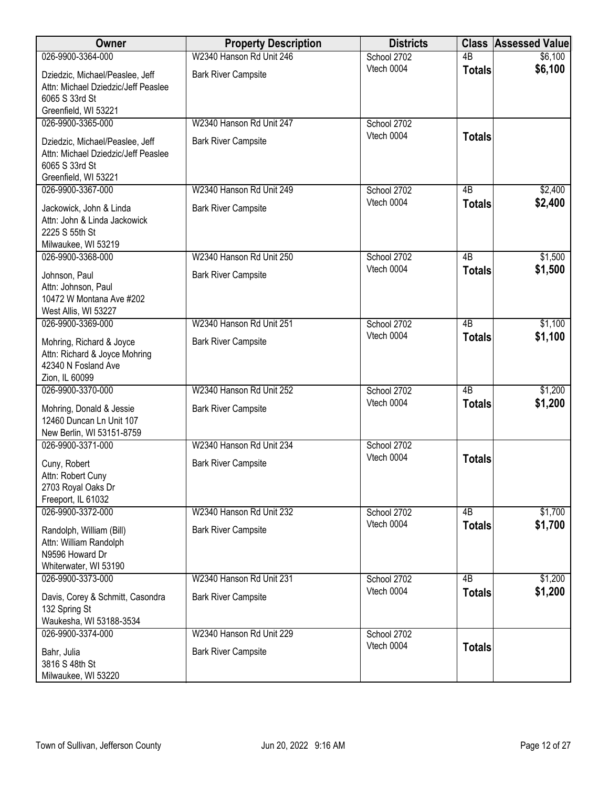| Owner                                                     | <b>Property Description</b> | <b>Districts</b> | <b>Class</b>    | <b>Assessed Value</b> |
|-----------------------------------------------------------|-----------------------------|------------------|-----------------|-----------------------|
| 026-9900-3364-000                                         | W2340 Hanson Rd Unit 246    | School 2702      | $\overline{AB}$ | \$6,100               |
| Dziedzic, Michael/Peaslee, Jeff                           | <b>Bark River Campsite</b>  | Vtech 0004       | <b>Totals</b>   | \$6,100               |
| Attn: Michael Dziedzic/Jeff Peaslee                       |                             |                  |                 |                       |
| 6065 S 33rd St                                            |                             |                  |                 |                       |
| Greenfield, WI 53221                                      |                             |                  |                 |                       |
| 026-9900-3365-000                                         | W2340 Hanson Rd Unit 247    | School 2702      |                 |                       |
| Dziedzic, Michael/Peaslee, Jeff                           | <b>Bark River Campsite</b>  | Vtech 0004       | <b>Totals</b>   |                       |
| Attn: Michael Dziedzic/Jeff Peaslee                       |                             |                  |                 |                       |
| 6065 S 33rd St                                            |                             |                  |                 |                       |
| Greenfield, WI 53221                                      |                             |                  |                 |                       |
| 026-9900-3367-000                                         | W2340 Hanson Rd Unit 249    | School 2702      | 4B              | \$2,400               |
| Jackowick, John & Linda                                   | <b>Bark River Campsite</b>  | Vtech 0004       | <b>Totals</b>   | \$2,400               |
| Attn: John & Linda Jackowick                              |                             |                  |                 |                       |
| 2225 S 55th St                                            |                             |                  |                 |                       |
| Milwaukee, WI 53219                                       |                             |                  |                 |                       |
| 026-9900-3368-000                                         | W2340 Hanson Rd Unit 250    | School 2702      | $\overline{AB}$ | \$1,500               |
|                                                           | <b>Bark River Campsite</b>  | Vtech 0004       | <b>Totals</b>   | \$1,500               |
| Johnson, Paul<br>Attn: Johnson, Paul                      |                             |                  |                 |                       |
| 10472 W Montana Ave #202                                  |                             |                  |                 |                       |
| West Allis, WI 53227                                      |                             |                  |                 |                       |
| 026-9900-3369-000                                         | W2340 Hanson Rd Unit 251    | School 2702      | $\overline{AB}$ | \$1,100               |
|                                                           |                             | Vtech 0004       | <b>Totals</b>   | \$1,100               |
| Mohring, Richard & Joyce<br>Attn: Richard & Joyce Mohring | <b>Bark River Campsite</b>  |                  |                 |                       |
| 42340 N Fosland Ave                                       |                             |                  |                 |                       |
| Zion, IL 60099                                            |                             |                  |                 |                       |
| 026-9900-3370-000                                         | W2340 Hanson Rd Unit 252    | School 2702      | $\overline{AB}$ | \$1,200               |
| Mohring, Donald & Jessie                                  | <b>Bark River Campsite</b>  | Vtech 0004       | <b>Totals</b>   | \$1,200               |
| 12460 Duncan Ln Unit 107                                  |                             |                  |                 |                       |
| New Berlin, WI 53151-8759                                 |                             |                  |                 |                       |
| 026-9900-3371-000                                         | W2340 Hanson Rd Unit 234    | School 2702      |                 |                       |
|                                                           |                             | Vtech 0004       | <b>Totals</b>   |                       |
| Cuny, Robert                                              | <b>Bark River Campsite</b>  |                  |                 |                       |
| Attn: Robert Cuny<br>2703 Royal Oaks Dr                   |                             |                  |                 |                       |
| Freeport, IL 61032                                        |                             |                  |                 |                       |
| 026-9900-3372-000                                         | W2340 Hanson Rd Unit 232    | School 2702      | 4B              | \$1,700               |
|                                                           |                             | Vtech 0004       | <b>Totals</b>   | \$1,700               |
| Randolph, William (Bill)<br>Attn: William Randolph        | <b>Bark River Campsite</b>  |                  |                 |                       |
| N9596 Howard Dr                                           |                             |                  |                 |                       |
| Whiterwater, WI 53190                                     |                             |                  |                 |                       |
| 026-9900-3373-000                                         | W2340 Hanson Rd Unit 231    | School 2702      | $\overline{AB}$ | \$1,200               |
|                                                           | <b>Bark River Campsite</b>  | Vtech 0004       | <b>Totals</b>   | \$1,200               |
| Davis, Corey & Schmitt, Casondra<br>132 Spring St         |                             |                  |                 |                       |
| Waukesha, WI 53188-3534                                   |                             |                  |                 |                       |
| 026-9900-3374-000                                         | W2340 Hanson Rd Unit 229    | School 2702      |                 |                       |
|                                                           |                             | Vtech 0004       | <b>Totals</b>   |                       |
| Bahr, Julia<br>3816 S 48th St                             | <b>Bark River Campsite</b>  |                  |                 |                       |
| Milwaukee, WI 53220                                       |                             |                  |                 |                       |
|                                                           |                             |                  |                 |                       |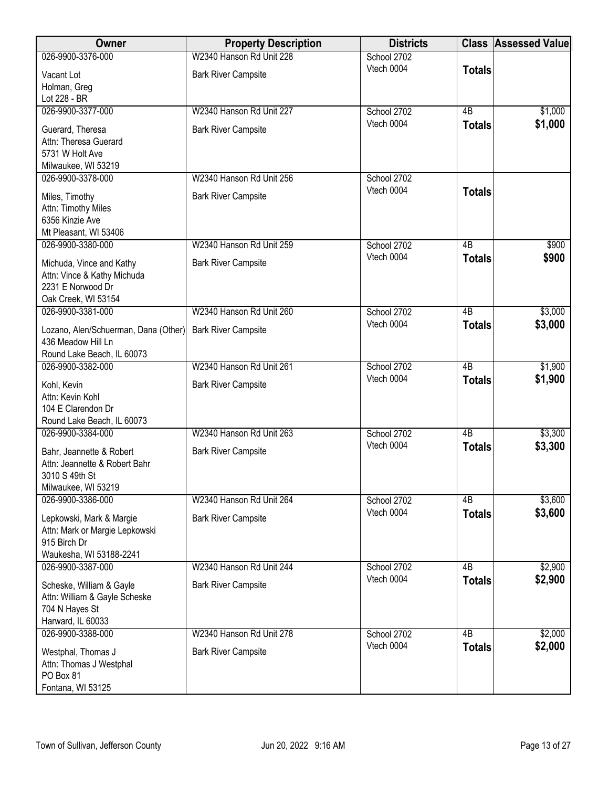| Owner                                                     | <b>Property Description</b> | <b>Districts</b>          |                                  | <b>Class Assessed Value</b> |
|-----------------------------------------------------------|-----------------------------|---------------------------|----------------------------------|-----------------------------|
| 026-9900-3376-000                                         | W2340 Hanson Rd Unit 228    | School 2702               |                                  |                             |
| Vacant Lot                                                | <b>Bark River Campsite</b>  | Vtech 0004                | <b>Totals</b>                    |                             |
| Holman, Greg                                              |                             |                           |                                  |                             |
| Lot 228 - BR                                              |                             |                           |                                  |                             |
| 026-9900-3377-000                                         | W2340 Hanson Rd Unit 227    | School 2702               | $\overline{AB}$                  | \$1,000                     |
| Guerard, Theresa                                          | <b>Bark River Campsite</b>  | Vtech 0004                | <b>Totals</b>                    | \$1,000                     |
| Attn: Theresa Guerard                                     |                             |                           |                                  |                             |
| 5731 W Holt Ave                                           |                             |                           |                                  |                             |
| Milwaukee, WI 53219                                       |                             |                           |                                  |                             |
| 026-9900-3378-000                                         | W2340 Hanson Rd Unit 256    | School 2702               |                                  |                             |
| Miles, Timothy                                            | <b>Bark River Campsite</b>  | Vtech 0004                | <b>Totals</b>                    |                             |
| Attn: Timothy Miles                                       |                             |                           |                                  |                             |
| 6356 Kinzie Ave                                           |                             |                           |                                  |                             |
| Mt Pleasant, WI 53406                                     |                             |                           |                                  |                             |
| 026-9900-3380-000                                         | W2340 Hanson Rd Unit 259    | School 2702               | $\overline{AB}$                  | \$900                       |
| Michuda, Vince and Kathy                                  | <b>Bark River Campsite</b>  | Vtech 0004                | <b>Totals</b>                    | \$900                       |
| Attn: Vince & Kathy Michuda                               |                             |                           |                                  |                             |
| 2231 E Norwood Dr                                         |                             |                           |                                  |                             |
| Oak Creek, WI 53154                                       |                             |                           |                                  |                             |
| 026-9900-3381-000                                         | W2340 Hanson Rd Unit 260    | School 2702<br>Vtech 0004 | $\overline{AB}$<br><b>Totals</b> | \$3,000<br>\$3,000          |
| Lozano, Alen/Schuerman, Dana (Other)                      | <b>Bark River Campsite</b>  |                           |                                  |                             |
| 436 Meadow Hill Ln                                        |                             |                           |                                  |                             |
| Round Lake Beach, IL 60073<br>026-9900-3382-000           | W2340 Hanson Rd Unit 261    | School 2702               | $\overline{AB}$                  | \$1,900                     |
|                                                           |                             | Vtech 0004                | <b>Totals</b>                    | \$1,900                     |
| Kohl, Kevin                                               | <b>Bark River Campsite</b>  |                           |                                  |                             |
| Attn: Kevin Kohl                                          |                             |                           |                                  |                             |
| 104 E Clarendon Dr<br>Round Lake Beach, IL 60073          |                             |                           |                                  |                             |
| 026-9900-3384-000                                         | W2340 Hanson Rd Unit 263    | School 2702               | $\overline{AB}$                  | \$3,300                     |
|                                                           |                             | Vtech 0004                | <b>Totals</b>                    | \$3,300                     |
| Bahr, Jeannette & Robert                                  | <b>Bark River Campsite</b>  |                           |                                  |                             |
| Attn: Jeannette & Robert Bahr<br>3010 S 49th St           |                             |                           |                                  |                             |
| Milwaukee, WI 53219                                       |                             |                           |                                  |                             |
| 026-9900-3386-000                                         | W2340 Hanson Rd Unit 264    | School 2702               | 4B                               | \$3,600                     |
|                                                           |                             | Vtech 0004                | <b>Totals</b>                    | \$3,600                     |
| Lepkowski, Mark & Margie                                  | <b>Bark River Campsite</b>  |                           |                                  |                             |
| Attn: Mark or Margie Lepkowski<br>915 Birch Dr            |                             |                           |                                  |                             |
| Waukesha, WI 53188-2241                                   |                             |                           |                                  |                             |
| 026-9900-3387-000                                         | W2340 Hanson Rd Unit 244    | School 2702               | 4B                               | \$2,900                     |
|                                                           | <b>Bark River Campsite</b>  | Vtech 0004                | <b>Totals</b>                    | \$2,900                     |
| Scheske, William & Gayle<br>Attn: William & Gayle Scheske |                             |                           |                                  |                             |
| 704 N Hayes St                                            |                             |                           |                                  |                             |
| Harward, IL 60033                                         |                             |                           |                                  |                             |
| 026-9900-3388-000                                         | W2340 Hanson Rd Unit 278    | School 2702               | $\overline{AB}$                  | \$2,000                     |
| Westphal, Thomas J                                        | <b>Bark River Campsite</b>  | Vtech 0004                | <b>Totals</b>                    | \$2,000                     |
| Attn: Thomas J Westphal                                   |                             |                           |                                  |                             |
| PO Box 81                                                 |                             |                           |                                  |                             |
| Fontana, WI 53125                                         |                             |                           |                                  |                             |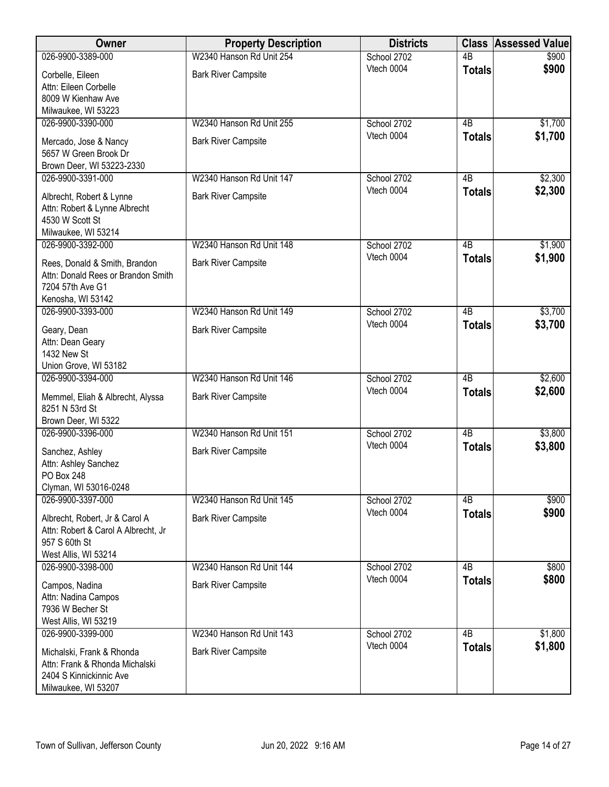| Owner                                                       | <b>Property Description</b> | <b>Districts</b> | <b>Class</b>    | <b>Assessed Value</b> |
|-------------------------------------------------------------|-----------------------------|------------------|-----------------|-----------------------|
| 026-9900-3389-000                                           | W2340 Hanson Rd Unit 254    | School 2702      | $\overline{AB}$ | \$900                 |
| Corbelle, Eileen                                            | <b>Bark River Campsite</b>  | Vtech 0004       | <b>Totals</b>   | \$900                 |
| Attn: Eileen Corbelle                                       |                             |                  |                 |                       |
| 8009 W Kienhaw Ave                                          |                             |                  |                 |                       |
| Milwaukee, WI 53223                                         |                             |                  |                 |                       |
| 026-9900-3390-000                                           | W2340 Hanson Rd Unit 255    | School 2702      | $\overline{AB}$ | \$1,700               |
| Mercado, Jose & Nancy                                       | <b>Bark River Campsite</b>  | Vtech 0004       | <b>Totals</b>   | \$1,700               |
| 5657 W Green Brook Dr                                       |                             |                  |                 |                       |
| Brown Deer, WI 53223-2330                                   |                             |                  |                 |                       |
| 026-9900-3391-000                                           | W2340 Hanson Rd Unit 147    | School 2702      | 4B              | \$2,300               |
|                                                             |                             | Vtech 0004       | <b>Totals</b>   | \$2,300               |
| Albrecht, Robert & Lynne<br>Attn: Robert & Lynne Albrecht   | <b>Bark River Campsite</b>  |                  |                 |                       |
| 4530 W Scott St                                             |                             |                  |                 |                       |
| Milwaukee, WI 53214                                         |                             |                  |                 |                       |
| 026-9900-3392-000                                           | W2340 Hanson Rd Unit 148    | School 2702      | $\overline{AB}$ | \$1,900               |
| Rees, Donald & Smith, Brandon                               | <b>Bark River Campsite</b>  | Vtech 0004       | <b>Totals</b>   | \$1,900               |
| Attn: Donald Rees or Brandon Smith                          |                             |                  |                 |                       |
| 7204 57th Ave G1                                            |                             |                  |                 |                       |
| Kenosha, WI 53142                                           |                             |                  |                 |                       |
| 026-9900-3393-000                                           | W2340 Hanson Rd Unit 149    | School 2702      | $\overline{AB}$ | \$3,700               |
| Geary, Dean                                                 | <b>Bark River Campsite</b>  | Vtech 0004       | <b>Totals</b>   | \$3,700               |
| Attn: Dean Geary                                            |                             |                  |                 |                       |
| 1432 New St                                                 |                             |                  |                 |                       |
| Union Grove, WI 53182                                       |                             |                  |                 |                       |
| 026-9900-3394-000                                           | W2340 Hanson Rd Unit 146    | School 2702      | $\overline{AB}$ | \$2,600               |
| Memmel, Eliah & Albrecht, Alyssa                            | <b>Bark River Campsite</b>  | Vtech 0004       | <b>Totals</b>   | \$2,600               |
| 8251 N 53rd St                                              |                             |                  |                 |                       |
| Brown Deer, WI 5322                                         |                             |                  |                 |                       |
| 026-9900-3396-000                                           | W2340 Hanson Rd Unit 151    | School 2702      | $\overline{AB}$ | \$3,800               |
| Sanchez, Ashley                                             | <b>Bark River Campsite</b>  | Vtech 0004       | <b>Totals</b>   | \$3,800               |
| Attn: Ashley Sanchez                                        |                             |                  |                 |                       |
| PO Box 248                                                  |                             |                  |                 |                       |
| Clyman, WI 53016-0248                                       |                             |                  |                 |                       |
| 026-9900-3397-000                                           | W2340 Hanson Rd Unit 145    | School 2702      | 4B              | \$900                 |
| Albrecht, Robert, Jr & Carol A                              | <b>Bark River Campsite</b>  | Vtech 0004       | <b>Totals</b>   | \$900                 |
| Attn: Robert & Carol A Albrecht, Jr                         |                             |                  |                 |                       |
| 957 S 60th St                                               |                             |                  |                 |                       |
| West Allis, WI 53214                                        |                             |                  |                 |                       |
| 026-9900-3398-000                                           | W2340 Hanson Rd Unit 144    | School 2702      | 4B              | \$800                 |
| Campos, Nadina                                              | <b>Bark River Campsite</b>  | Vtech 0004       | <b>Totals</b>   | \$800                 |
| Attn: Nadina Campos                                         |                             |                  |                 |                       |
| 7936 W Becher St                                            |                             |                  |                 |                       |
| West Allis, WI 53219                                        |                             |                  |                 |                       |
| 026-9900-3399-000                                           | W2340 Hanson Rd Unit 143    | School 2702      | $\overline{AB}$ | \$1,800               |
|                                                             |                             | Vtech 0004       | <b>Totals</b>   | \$1,800               |
| Michalski, Frank & Rhonda<br>Attn: Frank & Rhonda Michalski | <b>Bark River Campsite</b>  |                  |                 |                       |
| 2404 S Kinnickinnic Ave                                     |                             |                  |                 |                       |
| Milwaukee, WI 53207                                         |                             |                  |                 |                       |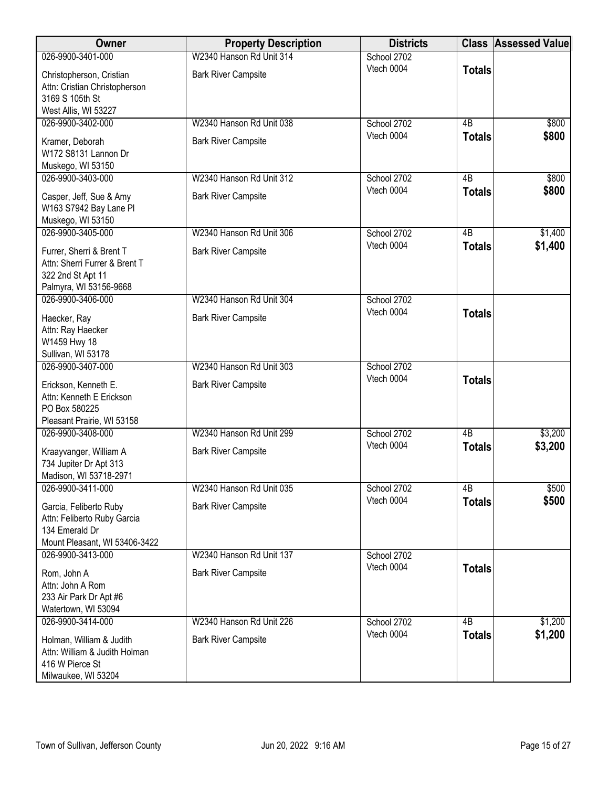| W2340 Hanson Rd Unit 314<br>026-9900-3401-000<br>School 2702<br>Vtech 0004<br><b>Totals</b><br><b>Bark River Campsite</b><br>Christopherson, Cristian<br>Attn: Cristian Christopherson<br>3169 S 105th St<br>West Allis, WI 53227<br>W2340 Hanson Rd Unit 038<br>026-9900-3402-000<br>School 2702<br>4B<br>\$800<br>Vtech 0004<br>\$800<br><b>Totals</b><br>Kramer, Deborah<br><b>Bark River Campsite</b><br>W172 S8131 Lannon Dr<br>Muskego, WI 53150<br>026-9900-3403-000<br>W2340 Hanson Rd Unit 312<br>\$800<br>School 2702<br>4B<br>Vtech 0004<br>\$800<br><b>Totals</b><br><b>Bark River Campsite</b><br>Casper, Jeff, Sue & Amy<br>W163 S7942 Bay Lane Pl<br>Muskego, WI 53150<br>026-9900-3405-000<br>W2340 Hanson Rd Unit 306<br>4B<br>\$1,400<br>School 2702<br>Vtech 0004<br>\$1,400<br><b>Totals</b><br><b>Bark River Campsite</b><br>Furrer, Sherri & Brent T<br>Attn: Sherri Furrer & Brent T<br>322 2nd St Apt 11<br>Palmyra, WI 53156-9668<br>W2340 Hanson Rd Unit 304<br>026-9900-3406-000<br>School 2702<br>Vtech 0004<br><b>Totals</b><br><b>Bark River Campsite</b><br>Haecker, Ray<br>Attn: Ray Haecker<br>W1459 Hwy 18<br>Sullivan, WI 53178<br>W2340 Hanson Rd Unit 303<br>026-9900-3407-000<br>School 2702<br>Vtech 0004<br><b>Totals</b><br><b>Bark River Campsite</b><br>Erickson, Kenneth E.<br>Attn: Kenneth E Erickson<br>PO Box 580225<br>Pleasant Prairie, WI 53158<br>W2340 Hanson Rd Unit 299<br>School 2702<br>4B<br>\$3,200<br>026-9900-3408-000<br>Vtech 0004<br>\$3,200<br><b>Totals</b><br><b>Bark River Campsite</b><br>Kraayvanger, William A<br>734 Jupiter Dr Apt 313<br>Madison, WI 53718-2971<br>026-9900-3411-000<br>W2340 Hanson Rd Unit 035<br>School 2702<br>4B<br>\$500<br>\$500<br>Vtech 0004<br><b>Totals</b><br><b>Bark River Campsite</b><br>Garcia, Feliberto Ruby<br>Attn: Feliberto Ruby Garcia<br>134 Emerald Dr<br>Mount Pleasant, WI 53406-3422<br>W2340 Hanson Rd Unit 137<br>026-9900-3413-000<br>School 2702<br>Vtech 0004<br><b>Totals</b><br><b>Bark River Campsite</b><br>Rom, John A<br>Attn: John A Rom<br>233 Air Park Dr Apt #6<br>Watertown, WI 53094<br>026-9900-3414-000<br>W2340 Hanson Rd Unit 226<br>4B<br>\$1,200<br>School 2702<br>\$1,200<br>Vtech 0004<br><b>Totals</b><br><b>Bark River Campsite</b><br>Holman, William & Judith<br>Attn: William & Judith Holman<br>416 W Pierce St | Owner               | <b>Property Description</b> | <b>Districts</b> | <b>Class Assessed Value</b> |
|----------------------------------------------------------------------------------------------------------------------------------------------------------------------------------------------------------------------------------------------------------------------------------------------------------------------------------------------------------------------------------------------------------------------------------------------------------------------------------------------------------------------------------------------------------------------------------------------------------------------------------------------------------------------------------------------------------------------------------------------------------------------------------------------------------------------------------------------------------------------------------------------------------------------------------------------------------------------------------------------------------------------------------------------------------------------------------------------------------------------------------------------------------------------------------------------------------------------------------------------------------------------------------------------------------------------------------------------------------------------------------------------------------------------------------------------------------------------------------------------------------------------------------------------------------------------------------------------------------------------------------------------------------------------------------------------------------------------------------------------------------------------------------------------------------------------------------------------------------------------------------------------------------------------------------------------------------------------------------------------------------------------------------------------------------------------------------------------------------------------------------------------------------------------------------------------------------------------------------------------------------------------------------------------------------------------------------------------------------------------|---------------------|-----------------------------|------------------|-----------------------------|
|                                                                                                                                                                                                                                                                                                                                                                                                                                                                                                                                                                                                                                                                                                                                                                                                                                                                                                                                                                                                                                                                                                                                                                                                                                                                                                                                                                                                                                                                                                                                                                                                                                                                                                                                                                                                                                                                                                                                                                                                                                                                                                                                                                                                                                                                                                                                                                      |                     |                             |                  |                             |
|                                                                                                                                                                                                                                                                                                                                                                                                                                                                                                                                                                                                                                                                                                                                                                                                                                                                                                                                                                                                                                                                                                                                                                                                                                                                                                                                                                                                                                                                                                                                                                                                                                                                                                                                                                                                                                                                                                                                                                                                                                                                                                                                                                                                                                                                                                                                                                      |                     |                             |                  |                             |
|                                                                                                                                                                                                                                                                                                                                                                                                                                                                                                                                                                                                                                                                                                                                                                                                                                                                                                                                                                                                                                                                                                                                                                                                                                                                                                                                                                                                                                                                                                                                                                                                                                                                                                                                                                                                                                                                                                                                                                                                                                                                                                                                                                                                                                                                                                                                                                      |                     |                             |                  |                             |
|                                                                                                                                                                                                                                                                                                                                                                                                                                                                                                                                                                                                                                                                                                                                                                                                                                                                                                                                                                                                                                                                                                                                                                                                                                                                                                                                                                                                                                                                                                                                                                                                                                                                                                                                                                                                                                                                                                                                                                                                                                                                                                                                                                                                                                                                                                                                                                      |                     |                             |                  |                             |
|                                                                                                                                                                                                                                                                                                                                                                                                                                                                                                                                                                                                                                                                                                                                                                                                                                                                                                                                                                                                                                                                                                                                                                                                                                                                                                                                                                                                                                                                                                                                                                                                                                                                                                                                                                                                                                                                                                                                                                                                                                                                                                                                                                                                                                                                                                                                                                      |                     |                             |                  |                             |
|                                                                                                                                                                                                                                                                                                                                                                                                                                                                                                                                                                                                                                                                                                                                                                                                                                                                                                                                                                                                                                                                                                                                                                                                                                                                                                                                                                                                                                                                                                                                                                                                                                                                                                                                                                                                                                                                                                                                                                                                                                                                                                                                                                                                                                                                                                                                                                      |                     |                             |                  |                             |
|                                                                                                                                                                                                                                                                                                                                                                                                                                                                                                                                                                                                                                                                                                                                                                                                                                                                                                                                                                                                                                                                                                                                                                                                                                                                                                                                                                                                                                                                                                                                                                                                                                                                                                                                                                                                                                                                                                                                                                                                                                                                                                                                                                                                                                                                                                                                                                      |                     |                             |                  |                             |
|                                                                                                                                                                                                                                                                                                                                                                                                                                                                                                                                                                                                                                                                                                                                                                                                                                                                                                                                                                                                                                                                                                                                                                                                                                                                                                                                                                                                                                                                                                                                                                                                                                                                                                                                                                                                                                                                                                                                                                                                                                                                                                                                                                                                                                                                                                                                                                      |                     |                             |                  |                             |
|                                                                                                                                                                                                                                                                                                                                                                                                                                                                                                                                                                                                                                                                                                                                                                                                                                                                                                                                                                                                                                                                                                                                                                                                                                                                                                                                                                                                                                                                                                                                                                                                                                                                                                                                                                                                                                                                                                                                                                                                                                                                                                                                                                                                                                                                                                                                                                      |                     |                             |                  |                             |
|                                                                                                                                                                                                                                                                                                                                                                                                                                                                                                                                                                                                                                                                                                                                                                                                                                                                                                                                                                                                                                                                                                                                                                                                                                                                                                                                                                                                                                                                                                                                                                                                                                                                                                                                                                                                                                                                                                                                                                                                                                                                                                                                                                                                                                                                                                                                                                      |                     |                             |                  |                             |
|                                                                                                                                                                                                                                                                                                                                                                                                                                                                                                                                                                                                                                                                                                                                                                                                                                                                                                                                                                                                                                                                                                                                                                                                                                                                                                                                                                                                                                                                                                                                                                                                                                                                                                                                                                                                                                                                                                                                                                                                                                                                                                                                                                                                                                                                                                                                                                      |                     |                             |                  |                             |
|                                                                                                                                                                                                                                                                                                                                                                                                                                                                                                                                                                                                                                                                                                                                                                                                                                                                                                                                                                                                                                                                                                                                                                                                                                                                                                                                                                                                                                                                                                                                                                                                                                                                                                                                                                                                                                                                                                                                                                                                                                                                                                                                                                                                                                                                                                                                                                      |                     |                             |                  |                             |
|                                                                                                                                                                                                                                                                                                                                                                                                                                                                                                                                                                                                                                                                                                                                                                                                                                                                                                                                                                                                                                                                                                                                                                                                                                                                                                                                                                                                                                                                                                                                                                                                                                                                                                                                                                                                                                                                                                                                                                                                                                                                                                                                                                                                                                                                                                                                                                      |                     |                             |                  |                             |
|                                                                                                                                                                                                                                                                                                                                                                                                                                                                                                                                                                                                                                                                                                                                                                                                                                                                                                                                                                                                                                                                                                                                                                                                                                                                                                                                                                                                                                                                                                                                                                                                                                                                                                                                                                                                                                                                                                                                                                                                                                                                                                                                                                                                                                                                                                                                                                      |                     |                             |                  |                             |
|                                                                                                                                                                                                                                                                                                                                                                                                                                                                                                                                                                                                                                                                                                                                                                                                                                                                                                                                                                                                                                                                                                                                                                                                                                                                                                                                                                                                                                                                                                                                                                                                                                                                                                                                                                                                                                                                                                                                                                                                                                                                                                                                                                                                                                                                                                                                                                      |                     |                             |                  |                             |
|                                                                                                                                                                                                                                                                                                                                                                                                                                                                                                                                                                                                                                                                                                                                                                                                                                                                                                                                                                                                                                                                                                                                                                                                                                                                                                                                                                                                                                                                                                                                                                                                                                                                                                                                                                                                                                                                                                                                                                                                                                                                                                                                                                                                                                                                                                                                                                      |                     |                             |                  |                             |
|                                                                                                                                                                                                                                                                                                                                                                                                                                                                                                                                                                                                                                                                                                                                                                                                                                                                                                                                                                                                                                                                                                                                                                                                                                                                                                                                                                                                                                                                                                                                                                                                                                                                                                                                                                                                                                                                                                                                                                                                                                                                                                                                                                                                                                                                                                                                                                      |                     |                             |                  |                             |
|                                                                                                                                                                                                                                                                                                                                                                                                                                                                                                                                                                                                                                                                                                                                                                                                                                                                                                                                                                                                                                                                                                                                                                                                                                                                                                                                                                                                                                                                                                                                                                                                                                                                                                                                                                                                                                                                                                                                                                                                                                                                                                                                                                                                                                                                                                                                                                      |                     |                             |                  |                             |
|                                                                                                                                                                                                                                                                                                                                                                                                                                                                                                                                                                                                                                                                                                                                                                                                                                                                                                                                                                                                                                                                                                                                                                                                                                                                                                                                                                                                                                                                                                                                                                                                                                                                                                                                                                                                                                                                                                                                                                                                                                                                                                                                                                                                                                                                                                                                                                      |                     |                             |                  |                             |
|                                                                                                                                                                                                                                                                                                                                                                                                                                                                                                                                                                                                                                                                                                                                                                                                                                                                                                                                                                                                                                                                                                                                                                                                                                                                                                                                                                                                                                                                                                                                                                                                                                                                                                                                                                                                                                                                                                                                                                                                                                                                                                                                                                                                                                                                                                                                                                      |                     |                             |                  |                             |
|                                                                                                                                                                                                                                                                                                                                                                                                                                                                                                                                                                                                                                                                                                                                                                                                                                                                                                                                                                                                                                                                                                                                                                                                                                                                                                                                                                                                                                                                                                                                                                                                                                                                                                                                                                                                                                                                                                                                                                                                                                                                                                                                                                                                                                                                                                                                                                      |                     |                             |                  |                             |
|                                                                                                                                                                                                                                                                                                                                                                                                                                                                                                                                                                                                                                                                                                                                                                                                                                                                                                                                                                                                                                                                                                                                                                                                                                                                                                                                                                                                                                                                                                                                                                                                                                                                                                                                                                                                                                                                                                                                                                                                                                                                                                                                                                                                                                                                                                                                                                      |                     |                             |                  |                             |
|                                                                                                                                                                                                                                                                                                                                                                                                                                                                                                                                                                                                                                                                                                                                                                                                                                                                                                                                                                                                                                                                                                                                                                                                                                                                                                                                                                                                                                                                                                                                                                                                                                                                                                                                                                                                                                                                                                                                                                                                                                                                                                                                                                                                                                                                                                                                                                      |                     |                             |                  |                             |
|                                                                                                                                                                                                                                                                                                                                                                                                                                                                                                                                                                                                                                                                                                                                                                                                                                                                                                                                                                                                                                                                                                                                                                                                                                                                                                                                                                                                                                                                                                                                                                                                                                                                                                                                                                                                                                                                                                                                                                                                                                                                                                                                                                                                                                                                                                                                                                      |                     |                             |                  |                             |
|                                                                                                                                                                                                                                                                                                                                                                                                                                                                                                                                                                                                                                                                                                                                                                                                                                                                                                                                                                                                                                                                                                                                                                                                                                                                                                                                                                                                                                                                                                                                                                                                                                                                                                                                                                                                                                                                                                                                                                                                                                                                                                                                                                                                                                                                                                                                                                      |                     |                             |                  |                             |
|                                                                                                                                                                                                                                                                                                                                                                                                                                                                                                                                                                                                                                                                                                                                                                                                                                                                                                                                                                                                                                                                                                                                                                                                                                                                                                                                                                                                                                                                                                                                                                                                                                                                                                                                                                                                                                                                                                                                                                                                                                                                                                                                                                                                                                                                                                                                                                      |                     |                             |                  |                             |
|                                                                                                                                                                                                                                                                                                                                                                                                                                                                                                                                                                                                                                                                                                                                                                                                                                                                                                                                                                                                                                                                                                                                                                                                                                                                                                                                                                                                                                                                                                                                                                                                                                                                                                                                                                                                                                                                                                                                                                                                                                                                                                                                                                                                                                                                                                                                                                      |                     |                             |                  |                             |
|                                                                                                                                                                                                                                                                                                                                                                                                                                                                                                                                                                                                                                                                                                                                                                                                                                                                                                                                                                                                                                                                                                                                                                                                                                                                                                                                                                                                                                                                                                                                                                                                                                                                                                                                                                                                                                                                                                                                                                                                                                                                                                                                                                                                                                                                                                                                                                      |                     |                             |                  |                             |
|                                                                                                                                                                                                                                                                                                                                                                                                                                                                                                                                                                                                                                                                                                                                                                                                                                                                                                                                                                                                                                                                                                                                                                                                                                                                                                                                                                                                                                                                                                                                                                                                                                                                                                                                                                                                                                                                                                                                                                                                                                                                                                                                                                                                                                                                                                                                                                      |                     |                             |                  |                             |
|                                                                                                                                                                                                                                                                                                                                                                                                                                                                                                                                                                                                                                                                                                                                                                                                                                                                                                                                                                                                                                                                                                                                                                                                                                                                                                                                                                                                                                                                                                                                                                                                                                                                                                                                                                                                                                                                                                                                                                                                                                                                                                                                                                                                                                                                                                                                                                      |                     |                             |                  |                             |
|                                                                                                                                                                                                                                                                                                                                                                                                                                                                                                                                                                                                                                                                                                                                                                                                                                                                                                                                                                                                                                                                                                                                                                                                                                                                                                                                                                                                                                                                                                                                                                                                                                                                                                                                                                                                                                                                                                                                                                                                                                                                                                                                                                                                                                                                                                                                                                      |                     |                             |                  |                             |
|                                                                                                                                                                                                                                                                                                                                                                                                                                                                                                                                                                                                                                                                                                                                                                                                                                                                                                                                                                                                                                                                                                                                                                                                                                                                                                                                                                                                                                                                                                                                                                                                                                                                                                                                                                                                                                                                                                                                                                                                                                                                                                                                                                                                                                                                                                                                                                      |                     |                             |                  |                             |
|                                                                                                                                                                                                                                                                                                                                                                                                                                                                                                                                                                                                                                                                                                                                                                                                                                                                                                                                                                                                                                                                                                                                                                                                                                                                                                                                                                                                                                                                                                                                                                                                                                                                                                                                                                                                                                                                                                                                                                                                                                                                                                                                                                                                                                                                                                                                                                      |                     |                             |                  |                             |
|                                                                                                                                                                                                                                                                                                                                                                                                                                                                                                                                                                                                                                                                                                                                                                                                                                                                                                                                                                                                                                                                                                                                                                                                                                                                                                                                                                                                                                                                                                                                                                                                                                                                                                                                                                                                                                                                                                                                                                                                                                                                                                                                                                                                                                                                                                                                                                      |                     |                             |                  |                             |
|                                                                                                                                                                                                                                                                                                                                                                                                                                                                                                                                                                                                                                                                                                                                                                                                                                                                                                                                                                                                                                                                                                                                                                                                                                                                                                                                                                                                                                                                                                                                                                                                                                                                                                                                                                                                                                                                                                                                                                                                                                                                                                                                                                                                                                                                                                                                                                      |                     |                             |                  |                             |
|                                                                                                                                                                                                                                                                                                                                                                                                                                                                                                                                                                                                                                                                                                                                                                                                                                                                                                                                                                                                                                                                                                                                                                                                                                                                                                                                                                                                                                                                                                                                                                                                                                                                                                                                                                                                                                                                                                                                                                                                                                                                                                                                                                                                                                                                                                                                                                      |                     |                             |                  |                             |
|                                                                                                                                                                                                                                                                                                                                                                                                                                                                                                                                                                                                                                                                                                                                                                                                                                                                                                                                                                                                                                                                                                                                                                                                                                                                                                                                                                                                                                                                                                                                                                                                                                                                                                                                                                                                                                                                                                                                                                                                                                                                                                                                                                                                                                                                                                                                                                      |                     |                             |                  |                             |
|                                                                                                                                                                                                                                                                                                                                                                                                                                                                                                                                                                                                                                                                                                                                                                                                                                                                                                                                                                                                                                                                                                                                                                                                                                                                                                                                                                                                                                                                                                                                                                                                                                                                                                                                                                                                                                                                                                                                                                                                                                                                                                                                                                                                                                                                                                                                                                      |                     |                             |                  |                             |
|                                                                                                                                                                                                                                                                                                                                                                                                                                                                                                                                                                                                                                                                                                                                                                                                                                                                                                                                                                                                                                                                                                                                                                                                                                                                                                                                                                                                                                                                                                                                                                                                                                                                                                                                                                                                                                                                                                                                                                                                                                                                                                                                                                                                                                                                                                                                                                      |                     |                             |                  |                             |
|                                                                                                                                                                                                                                                                                                                                                                                                                                                                                                                                                                                                                                                                                                                                                                                                                                                                                                                                                                                                                                                                                                                                                                                                                                                                                                                                                                                                                                                                                                                                                                                                                                                                                                                                                                                                                                                                                                                                                                                                                                                                                                                                                                                                                                                                                                                                                                      |                     |                             |                  |                             |
|                                                                                                                                                                                                                                                                                                                                                                                                                                                                                                                                                                                                                                                                                                                                                                                                                                                                                                                                                                                                                                                                                                                                                                                                                                                                                                                                                                                                                                                                                                                                                                                                                                                                                                                                                                                                                                                                                                                                                                                                                                                                                                                                                                                                                                                                                                                                                                      |                     |                             |                  |                             |
|                                                                                                                                                                                                                                                                                                                                                                                                                                                                                                                                                                                                                                                                                                                                                                                                                                                                                                                                                                                                                                                                                                                                                                                                                                                                                                                                                                                                                                                                                                                                                                                                                                                                                                                                                                                                                                                                                                                                                                                                                                                                                                                                                                                                                                                                                                                                                                      |                     |                             |                  |                             |
|                                                                                                                                                                                                                                                                                                                                                                                                                                                                                                                                                                                                                                                                                                                                                                                                                                                                                                                                                                                                                                                                                                                                                                                                                                                                                                                                                                                                                                                                                                                                                                                                                                                                                                                                                                                                                                                                                                                                                                                                                                                                                                                                                                                                                                                                                                                                                                      |                     |                             |                  |                             |
|                                                                                                                                                                                                                                                                                                                                                                                                                                                                                                                                                                                                                                                                                                                                                                                                                                                                                                                                                                                                                                                                                                                                                                                                                                                                                                                                                                                                                                                                                                                                                                                                                                                                                                                                                                                                                                                                                                                                                                                                                                                                                                                                                                                                                                                                                                                                                                      |                     |                             |                  |                             |
|                                                                                                                                                                                                                                                                                                                                                                                                                                                                                                                                                                                                                                                                                                                                                                                                                                                                                                                                                                                                                                                                                                                                                                                                                                                                                                                                                                                                                                                                                                                                                                                                                                                                                                                                                                                                                                                                                                                                                                                                                                                                                                                                                                                                                                                                                                                                                                      |                     |                             |                  |                             |
|                                                                                                                                                                                                                                                                                                                                                                                                                                                                                                                                                                                                                                                                                                                                                                                                                                                                                                                                                                                                                                                                                                                                                                                                                                                                                                                                                                                                                                                                                                                                                                                                                                                                                                                                                                                                                                                                                                                                                                                                                                                                                                                                                                                                                                                                                                                                                                      |                     |                             |                  |                             |
|                                                                                                                                                                                                                                                                                                                                                                                                                                                                                                                                                                                                                                                                                                                                                                                                                                                                                                                                                                                                                                                                                                                                                                                                                                                                                                                                                                                                                                                                                                                                                                                                                                                                                                                                                                                                                                                                                                                                                                                                                                                                                                                                                                                                                                                                                                                                                                      |                     |                             |                  |                             |
|                                                                                                                                                                                                                                                                                                                                                                                                                                                                                                                                                                                                                                                                                                                                                                                                                                                                                                                                                                                                                                                                                                                                                                                                                                                                                                                                                                                                                                                                                                                                                                                                                                                                                                                                                                                                                                                                                                                                                                                                                                                                                                                                                                                                                                                                                                                                                                      | Milwaukee, WI 53204 |                             |                  |                             |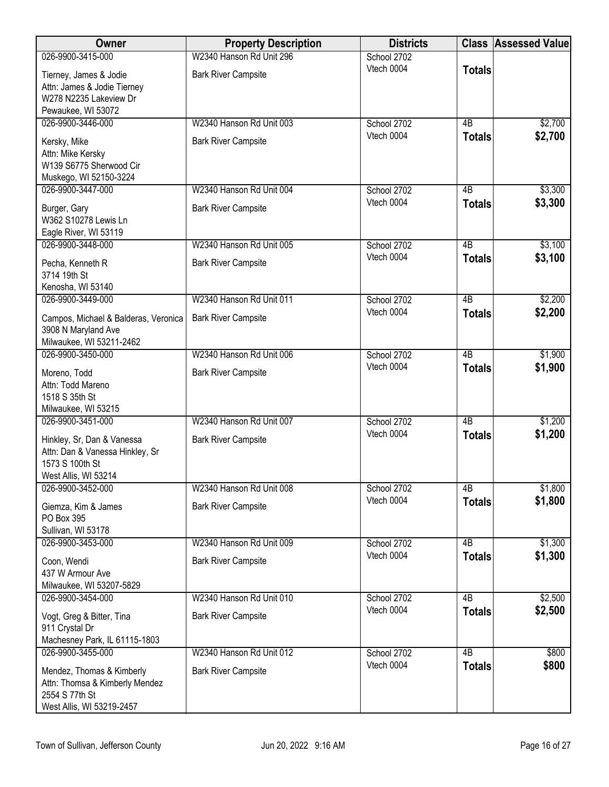| Owner                                        | <b>Property Description</b> | <b>Districts</b>          |                                  | <b>Class Assessed Value</b> |
|----------------------------------------------|-----------------------------|---------------------------|----------------------------------|-----------------------------|
| 026-9900-3415-000                            | W2340 Hanson Rd Unit 296    | School 2702               |                                  |                             |
| Tierney, James & Jodie                       | <b>Bark River Campsite</b>  | Vtech 0004                | <b>Totals</b>                    |                             |
| Attn: James & Jodie Tierney                  |                             |                           |                                  |                             |
| W278 N2235 Lakeview Dr                       |                             |                           |                                  |                             |
| Pewaukee, WI 53072<br>026-9900-3446-000      | W2340 Hanson Rd Unit 003    | School 2702               | $\overline{AB}$                  | \$2,700                     |
|                                              |                             | Vtech 0004                | <b>Totals</b>                    | \$2,700                     |
| Kersky, Mike                                 | <b>Bark River Campsite</b>  |                           |                                  |                             |
| Attn: Mike Kersky<br>W139 S6775 Sherwood Cir |                             |                           |                                  |                             |
| Muskego, WI 52150-3224                       |                             |                           |                                  |                             |
| 026-9900-3447-000                            | W2340 Hanson Rd Unit 004    | School 2702               | 4B                               | \$3,300                     |
| Burger, Gary                                 | <b>Bark River Campsite</b>  | Vtech 0004                | <b>Totals</b>                    | \$3,300                     |
| W362 S10278 Lewis Ln                         |                             |                           |                                  |                             |
| Eagle River, WI 53119                        |                             |                           |                                  |                             |
| 026-9900-3448-000                            | W2340 Hanson Rd Unit 005    | School 2702               | 4B                               | \$3,100                     |
| Pecha, Kenneth R                             | <b>Bark River Campsite</b>  | Vtech 0004                | <b>Totals</b>                    | \$3,100                     |
| 3714 19th St                                 |                             |                           |                                  |                             |
| Kenosha, WI 53140                            |                             |                           |                                  |                             |
| 026-9900-3449-000                            | W2340 Hanson Rd Unit 011    | School 2702               | $\overline{AB}$                  | \$2,200                     |
| Campos, Michael & Balderas, Veronica         | <b>Bark River Campsite</b>  | Vtech 0004                | <b>Totals</b>                    | \$2,200                     |
| 3908 N Maryland Ave                          |                             |                           |                                  |                             |
| Milwaukee, WI 53211-2462                     |                             |                           |                                  |                             |
| 026-9900-3450-000                            | W2340 Hanson Rd Unit 006    | School 2702<br>Vtech 0004 | $\overline{AB}$<br><b>Totals</b> | \$1,900<br>\$1,900          |
| Moreno, Todd                                 | <b>Bark River Campsite</b>  |                           |                                  |                             |
| Attn: Todd Mareno<br>1518 S 35th St          |                             |                           |                                  |                             |
| Milwaukee, WI 53215                          |                             |                           |                                  |                             |
| 026-9900-3451-000                            | W2340 Hanson Rd Unit 007    | School 2702               | $\overline{AB}$                  | \$1,200                     |
| Hinkley, Sr, Dan & Vanessa                   | <b>Bark River Campsite</b>  | Vtech 0004                | <b>Totals</b>                    | \$1,200                     |
| Attn: Dan & Vanessa Hinkley, Sr              |                             |                           |                                  |                             |
| 1573 S 100th St                              |                             |                           |                                  |                             |
| West Allis, WI 53214                         |                             |                           |                                  |                             |
| 026-9900-3452-000                            | W2340 Hanson Rd Unit 008    | School 2702<br>Vtech 0004 | 4B                               | \$1,800<br>\$1,800          |
| Giemza, Kim & James                          | <b>Bark River Campsite</b>  |                           | <b>Totals</b>                    |                             |
| PO Box 395<br>Sullivan, WI 53178             |                             |                           |                                  |                             |
| 026-9900-3453-000                            | W2340 Hanson Rd Unit 009    | School 2702               | 4B                               | \$1,300                     |
|                                              |                             | Vtech 0004                | <b>Totals</b>                    | \$1,300                     |
| Coon, Wendi<br>437 W Armour Ave              | <b>Bark River Campsite</b>  |                           |                                  |                             |
| Milwaukee, WI 53207-5829                     |                             |                           |                                  |                             |
| 026-9900-3454-000                            | W2340 Hanson Rd Unit 010    | School 2702               | $\overline{AB}$                  | \$2,500                     |
| Vogt, Greg & Bitter, Tina                    | <b>Bark River Campsite</b>  | Vtech 0004                | <b>Totals</b>                    | \$2,500                     |
| 911 Crystal Dr                               |                             |                           |                                  |                             |
| Machesney Park, IL 61115-1803                |                             |                           |                                  |                             |
| 026-9900-3455-000                            | W2340 Hanson Rd Unit 012    | School 2702               | $\overline{AB}$                  | \$800                       |
| Mendez, Thomas & Kimberly                    | <b>Bark River Campsite</b>  | Vtech 0004                | <b>Totals</b>                    | \$800                       |
| Attn: Thomsa & Kimberly Mendez               |                             |                           |                                  |                             |
| 2554 S 77th St                               |                             |                           |                                  |                             |
| West Allis, WI 53219-2457                    |                             |                           |                                  |                             |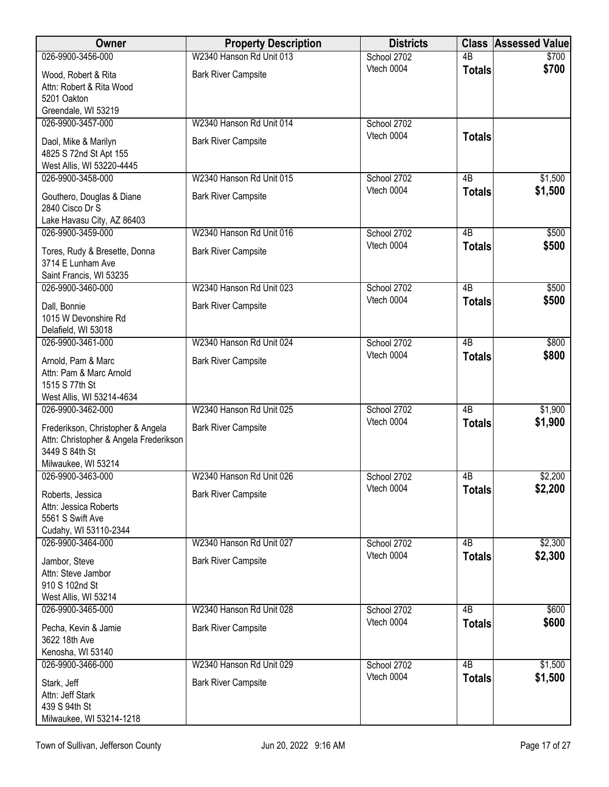| Owner                                                                                         | <b>Property Description</b> | <b>Districts</b>          |                     | <b>Class Assessed Value</b> |
|-----------------------------------------------------------------------------------------------|-----------------------------|---------------------------|---------------------|-----------------------------|
| 026-9900-3456-000                                                                             | W2340 Hanson Rd Unit 013    | School 2702               | 4B                  | \$700                       |
| Wood, Robert & Rita<br>Attn: Robert & Rita Wood<br>5201 Oakton                                | <b>Bark River Campsite</b>  | Vtech 0004                | <b>Totals</b>       | \$700                       |
| Greendale, WI 53219                                                                           |                             |                           |                     |                             |
| 026-9900-3457-000                                                                             | W2340 Hanson Rd Unit 014    | School 2702               |                     |                             |
| Daol, Mike & Marilyn<br>4825 S 72nd St Apt 155<br>West Allis, WI 53220-4445                   | <b>Bark River Campsite</b>  | Vtech 0004                | <b>Totals</b>       |                             |
| 026-9900-3458-000                                                                             | W2340 Hanson Rd Unit 015    | School 2702               | 4B                  | \$1,500                     |
| Gouthero, Douglas & Diane<br>2840 Cisco Dr S                                                  | <b>Bark River Campsite</b>  | Vtech 0004                | <b>Totals</b>       | \$1,500                     |
| Lake Havasu City, AZ 86403                                                                    |                             |                           |                     |                             |
| 026-9900-3459-000                                                                             | W2340 Hanson Rd Unit 016    | School 2702               | $\overline{AB}$     | \$500                       |
| Tores, Rudy & Bresette, Donna<br>3714 E Lunham Ave                                            | <b>Bark River Campsite</b>  | Vtech 0004                | <b>Totals</b>       | \$500                       |
| Saint Francis, WI 53235                                                                       |                             |                           |                     |                             |
| 026-9900-3460-000                                                                             | W2340 Hanson Rd Unit 023    | School 2702<br>Vtech 0004 | 4B<br><b>Totals</b> | \$500<br>\$500              |
| Dall, Bonnie<br>1015 W Devonshire Rd<br>Delafield, WI 53018                                   | <b>Bark River Campsite</b>  |                           |                     |                             |
| 026-9900-3461-000                                                                             | W2340 Hanson Rd Unit 024    | School 2702               | $\overline{AB}$     | \$800                       |
| Arnold, Pam & Marc<br>Attn: Pam & Marc Arnold<br>1515 S 77th St                               | <b>Bark River Campsite</b>  | Vtech 0004                | <b>Totals</b>       | \$800                       |
| West Allis, WI 53214-4634                                                                     |                             |                           |                     |                             |
| 026-9900-3462-000                                                                             | W2340 Hanson Rd Unit 025    | School 2702               | $\overline{AB}$     | \$1,900                     |
| Frederikson, Christopher & Angela<br>Attn: Christopher & Angela Frederikson<br>3449 S 84th St | <b>Bark River Campsite</b>  | Vtech 0004                | <b>Totals</b>       | \$1,900                     |
| Milwaukee, WI 53214                                                                           |                             |                           |                     |                             |
| 026-9900-3463-000                                                                             | W2340 Hanson Rd Unit 026    | School 2702               | 4B                  | \$2,200                     |
| Roberts, Jessica<br>Attn: Jessica Roberts<br>5561 S Swift Ave<br>Cudahy, WI 53110-2344        | <b>Bark River Campsite</b>  | Vtech 0004                | <b>Totals</b>       | \$2,200                     |
| 026-9900-3464-000                                                                             | W2340 Hanson Rd Unit 027    | School 2702               | 4B                  | \$2,300                     |
| Jambor, Steve<br>Attn: Steve Jambor<br>910 S 102nd St<br>West Allis, WI 53214                 | <b>Bark River Campsite</b>  | Vtech 0004                | <b>Totals</b>       | \$2,300                     |
| 026-9900-3465-000                                                                             | W2340 Hanson Rd Unit 028    | School 2702               | 4B                  | \$600                       |
| Pecha, Kevin & Jamie<br>3622 18th Ave                                                         | <b>Bark River Campsite</b>  | Vtech 0004                | <b>Totals</b>       | \$600                       |
| Kenosha, WI 53140                                                                             |                             |                           |                     |                             |
| 026-9900-3466-000                                                                             | W2340 Hanson Rd Unit 029    | School 2702               | $\overline{AB}$     | \$1,500                     |
| Stark, Jeff<br>Attn: Jeff Stark<br>439 S 94th St                                              | <b>Bark River Campsite</b>  | Vtech 0004                | <b>Totals</b>       | \$1,500                     |
| Milwaukee, WI 53214-1218                                                                      |                             |                           |                     |                             |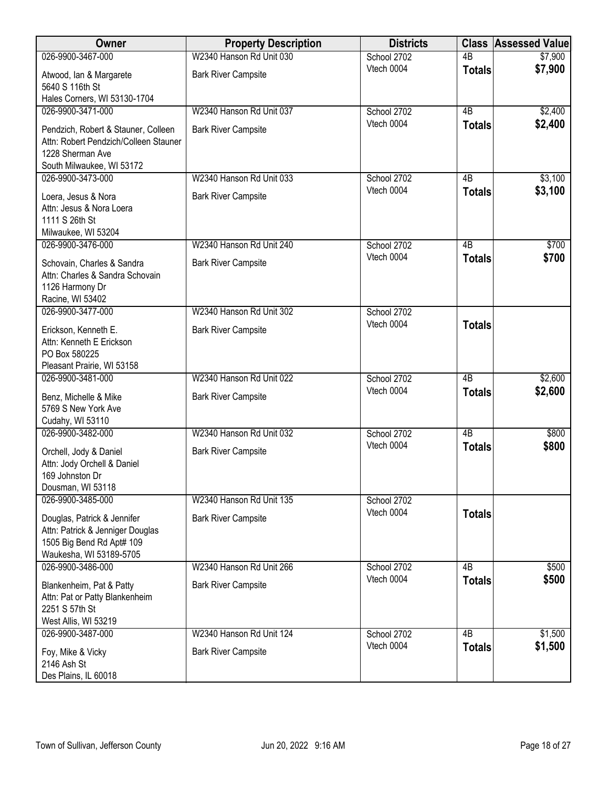| Owner                                                                                                                   | <b>Property Description</b>                            | <b>Districts</b>          | <b>Class</b>                     | <b>Assessed Value</b> |
|-------------------------------------------------------------------------------------------------------------------------|--------------------------------------------------------|---------------------------|----------------------------------|-----------------------|
| 026-9900-3467-000                                                                                                       | W2340 Hanson Rd Unit 030                               | School 2702               | $\overline{AB}$                  | \$7,900               |
| Atwood, Ian & Margarete<br>5640 S 116th St                                                                              | <b>Bark River Campsite</b>                             | Vtech 0004                | <b>Totals</b>                    | \$7,900               |
| Hales Corners, WI 53130-1704                                                                                            |                                                        |                           |                                  |                       |
| 026-9900-3471-000                                                                                                       | W2340 Hanson Rd Unit 037                               | School 2702               | $\overline{AB}$                  | \$2,400               |
| Pendzich, Robert & Stauner, Colleen<br>Attn: Robert Pendzich/Colleen Stauner<br>1228 Sherman Ave                        | <b>Bark River Campsite</b>                             | Vtech 0004                | <b>Totals</b>                    | \$2,400               |
| South Milwaukee, WI 53172                                                                                               |                                                        |                           |                                  |                       |
| 026-9900-3473-000                                                                                                       | W2340 Hanson Rd Unit 033                               | School 2702               | 4B                               | \$3,100               |
| Loera, Jesus & Nora<br>Attn: Jesus & Nora Loera<br>1111 S 26th St                                                       | <b>Bark River Campsite</b>                             | Vtech 0004                | <b>Totals</b>                    | \$3,100               |
| Milwaukee, WI 53204                                                                                                     |                                                        |                           |                                  |                       |
| 026-9900-3476-000<br>Schovain, Charles & Sandra<br>Attn: Charles & Sandra Schovain<br>1126 Harmony Dr                   | W2340 Hanson Rd Unit 240<br><b>Bark River Campsite</b> | School 2702<br>Vtech 0004 | $\overline{AB}$<br><b>Totals</b> | \$700<br>\$700        |
| Racine, WI 53402                                                                                                        |                                                        |                           |                                  |                       |
| 026-9900-3477-000<br>Erickson, Kenneth E.<br>Attn: Kenneth E Erickson<br>PO Box 580225                                  | W2340 Hanson Rd Unit 302<br><b>Bark River Campsite</b> | School 2702<br>Vtech 0004 | <b>Totals</b>                    |                       |
| Pleasant Prairie, WI 53158<br>026-9900-3481-000                                                                         | W2340 Hanson Rd Unit 022                               | School 2702               | $\overline{AB}$                  | \$2,600               |
| Benz, Michelle & Mike<br>5769 S New York Ave<br>Cudahy, WI 53110                                                        | <b>Bark River Campsite</b>                             | Vtech 0004                | <b>Totals</b>                    | \$2,600               |
| 026-9900-3482-000                                                                                                       | W2340 Hanson Rd Unit 032                               | School 2702               | $\overline{AB}$                  | \$800                 |
| Orchell, Jody & Daniel<br>Attn: Jody Orchell & Daniel<br>169 Johnston Dr<br>Dousman, WI 53118                           | <b>Bark River Campsite</b>                             | Vtech 0004                | <b>Totals</b>                    | \$800                 |
| 026-9900-3485-000                                                                                                       | W2340 Hanson Rd Unit 135                               | School 2702               |                                  |                       |
| Douglas, Patrick & Jennifer<br>Attn: Patrick & Jenniger Douglas<br>1505 Big Bend Rd Apt# 109<br>Waukesha, WI 53189-5705 | <b>Bark River Campsite</b>                             | Vtech 0004                | <b>Totals</b>                    |                       |
| 026-9900-3486-000                                                                                                       | W2340 Hanson Rd Unit 266                               | School 2702               | 4B                               | \$500                 |
| Blankenheim, Pat & Patty<br>Attn: Pat or Patty Blankenheim<br>2251 S 57th St<br>West Allis, WI 53219                    | <b>Bark River Campsite</b>                             | Vtech 0004                | <b>Totals</b>                    | \$500                 |
| 026-9900-3487-000                                                                                                       | W2340 Hanson Rd Unit 124                               | School 2702               | $\overline{AB}$                  | \$1,500               |
| Foy, Mike & Vicky<br>2146 Ash St<br>Des Plains, IL 60018                                                                | <b>Bark River Campsite</b>                             | Vtech 0004                | <b>Totals</b>                    | \$1,500               |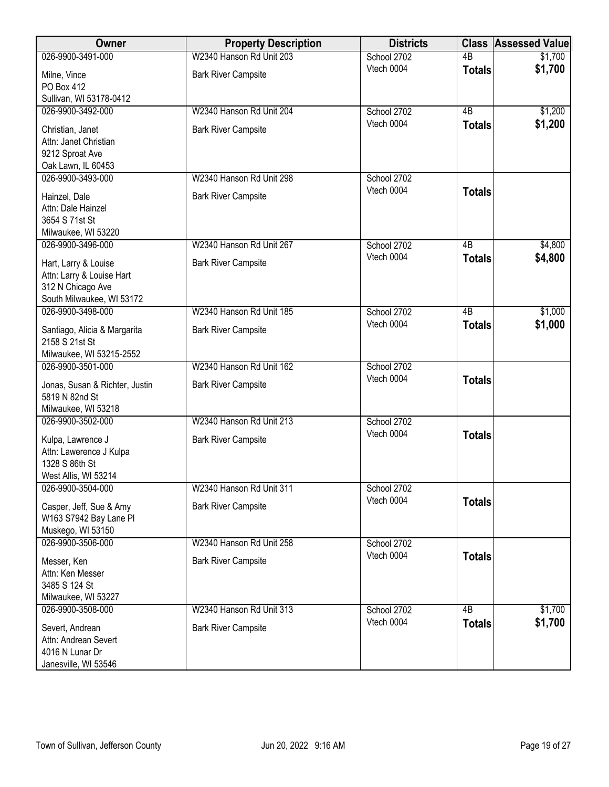| Owner                                                                                               | <b>Property Description</b> | <b>Districts</b>          | <b>Class</b>    | <b>Assessed Value</b> |
|-----------------------------------------------------------------------------------------------------|-----------------------------|---------------------------|-----------------|-----------------------|
| 026-9900-3491-000                                                                                   | W2340 Hanson Rd Unit 203    | School 2702               | $\overline{AB}$ | \$1,700               |
| Milne, Vince<br>PO Box 412                                                                          | <b>Bark River Campsite</b>  | Vtech 0004                | <b>Totals</b>   | \$1,700               |
| Sullivan, WI 53178-0412                                                                             |                             |                           |                 |                       |
| 026-9900-3492-000                                                                                   | W2340 Hanson Rd Unit 204    | School 2702               | $\overline{AB}$ | \$1,200               |
| Christian, Janet<br>Attn: Janet Christian<br>9212 Sproat Ave                                        | <b>Bark River Campsite</b>  | Vtech 0004                | <b>Totals</b>   | \$1,200               |
| Oak Lawn, IL 60453                                                                                  |                             |                           |                 |                       |
| 026-9900-3493-000                                                                                   | W2340 Hanson Rd Unit 298    | School 2702               |                 |                       |
| Hainzel, Dale<br>Attn: Dale Hainzel<br>3654 S 71st St                                               | <b>Bark River Campsite</b>  | Vtech 0004                | <b>Totals</b>   |                       |
| Milwaukee, WI 53220<br>026-9900-3496-000                                                            | W2340 Hanson Rd Unit 267    |                           |                 |                       |
|                                                                                                     |                             | School 2702<br>Vtech 0004 | 4B              | \$4,800<br>\$4,800    |
| Hart, Larry & Louise<br>Attn: Larry & Louise Hart<br>312 N Chicago Ave<br>South Milwaukee, WI 53172 | <b>Bark River Campsite</b>  |                           | <b>Totals</b>   |                       |
| 026-9900-3498-000                                                                                   | W2340 Hanson Rd Unit 185    | School 2702               | $\overline{AB}$ | \$1,000               |
| Santiago, Alicia & Margarita<br>2158 S 21st St                                                      | <b>Bark River Campsite</b>  | Vtech 0004                | <b>Totals</b>   | \$1,000               |
| Milwaukee, WI 53215-2552<br>026-9900-3501-000                                                       | W2340 Hanson Rd Unit 162    | School 2702               |                 |                       |
| Jonas, Susan & Richter, Justin<br>5819 N 82nd St                                                    | <b>Bark River Campsite</b>  | Vtech 0004                | <b>Totals</b>   |                       |
| Milwaukee, WI 53218<br>026-9900-3502-000                                                            | W2340 Hanson Rd Unit 213    | School 2702               |                 |                       |
| Kulpa, Lawrence J<br>Attn: Lawerence J Kulpa<br>1328 S 86th St<br>West Allis, WI 53214              | <b>Bark River Campsite</b>  | Vtech 0004                | <b>Totals</b>   |                       |
| 026-9900-3504-000                                                                                   | W2340 Hanson Rd Unit 311    | School 2702               |                 |                       |
| Casper, Jeff, Sue & Amy<br>W163 S7942 Bay Lane Pl<br>Muskego, WI 53150                              | <b>Bark River Campsite</b>  | Vtech 0004                | <b>Totals</b>   |                       |
| 026-9900-3506-000                                                                                   | W2340 Hanson Rd Unit 258    | School 2702               |                 |                       |
| Messer, Ken<br>Attn: Ken Messer<br>3485 S 124 St<br>Milwaukee, WI 53227                             | <b>Bark River Campsite</b>  | Vtech 0004                | <b>Totals</b>   |                       |
| 026-9900-3508-000                                                                                   | W2340 Hanson Rd Unit 313    | School 2702               | $\overline{AB}$ | \$1,700               |
| Severt, Andrean<br>Attn: Andrean Severt<br>4016 N Lunar Dr<br>Janesville, WI 53546                  | <b>Bark River Campsite</b>  | Vtech 0004                | <b>Totals</b>   | \$1,700               |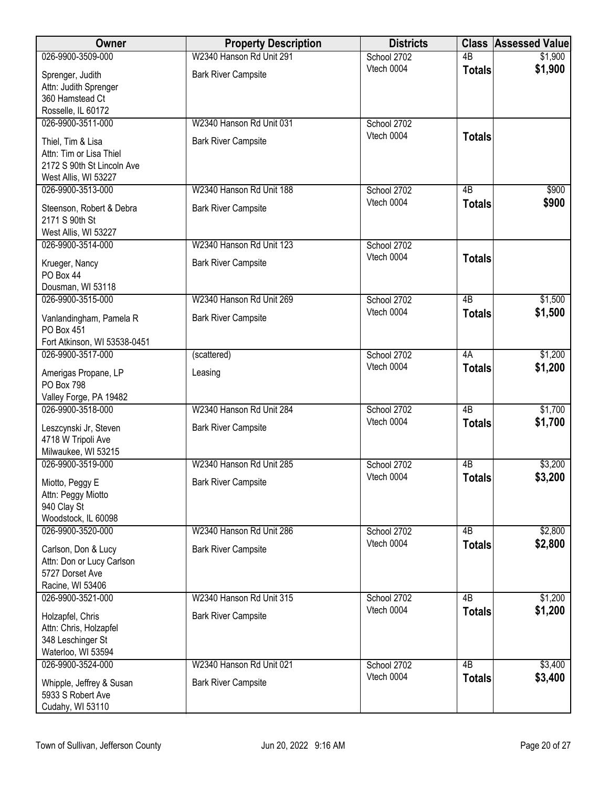| Owner                                                 | <b>Property Description</b> | <b>Districts</b> | <b>Class</b>    | <b>Assessed Value</b> |
|-------------------------------------------------------|-----------------------------|------------------|-----------------|-----------------------|
| 026-9900-3509-000                                     | W2340 Hanson Rd Unit 291    | School 2702      | $\overline{AB}$ | \$1,900               |
| Sprenger, Judith                                      | <b>Bark River Campsite</b>  | Vtech 0004       | <b>Totals</b>   | \$1,900               |
| Attn: Judith Sprenger                                 |                             |                  |                 |                       |
| 360 Hamstead Ct                                       |                             |                  |                 |                       |
| Rosselle, IL 60172<br>026-9900-3511-000               | W2340 Hanson Rd Unit 031    | School 2702      |                 |                       |
|                                                       |                             | Vtech 0004       | <b>Totals</b>   |                       |
| Thiel, Tim & Lisa                                     | <b>Bark River Campsite</b>  |                  |                 |                       |
| Attn: Tim or Lisa Thiel<br>2172 S 90th St Lincoln Ave |                             |                  |                 |                       |
| West Allis, WI 53227                                  |                             |                  |                 |                       |
| 026-9900-3513-000                                     | W2340 Hanson Rd Unit 188    | School 2702      | 4B              | \$900                 |
| Steenson, Robert & Debra                              | <b>Bark River Campsite</b>  | Vtech 0004       | <b>Totals</b>   | \$900                 |
| 2171 S 90th St                                        |                             |                  |                 |                       |
| West Allis, WI 53227                                  |                             |                  |                 |                       |
| 026-9900-3514-000                                     | W2340 Hanson Rd Unit 123    | School 2702      |                 |                       |
| Krueger, Nancy                                        | <b>Bark River Campsite</b>  | Vtech 0004       | <b>Totals</b>   |                       |
| PO Box 44                                             |                             |                  |                 |                       |
| Dousman, WI 53118                                     |                             |                  |                 |                       |
| 026-9900-3515-000                                     | W2340 Hanson Rd Unit 269    | School 2702      | 4B              | \$1,500               |
| Vanlandingham, Pamela R                               | <b>Bark River Campsite</b>  | Vtech 0004       | <b>Totals</b>   | \$1,500               |
| PO Box 451                                            |                             |                  |                 |                       |
| Fort Atkinson, WI 53538-0451<br>026-9900-3517-000     |                             | School 2702      | 4A              | \$1,200               |
|                                                       | (scattered)                 | Vtech 0004       | <b>Totals</b>   | \$1,200               |
| Amerigas Propane, LP                                  | Leasing                     |                  |                 |                       |
| <b>PO Box 798</b><br>Valley Forge, PA 19482           |                             |                  |                 |                       |
| 026-9900-3518-000                                     | W2340 Hanson Rd Unit 284    | School 2702      | $\overline{AB}$ | \$1,700               |
| Leszcynski Jr, Steven                                 | <b>Bark River Campsite</b>  | Vtech 0004       | <b>Totals</b>   | \$1,700               |
| 4718 W Tripoli Ave                                    |                             |                  |                 |                       |
| Milwaukee, WI 53215                                   |                             |                  |                 |                       |
| 026-9900-3519-000                                     | W2340 Hanson Rd Unit 285    | School 2702      | 4B              | \$3,200               |
| Miotto, Peggy E                                       | <b>Bark River Campsite</b>  | Vtech 0004       | <b>Totals</b>   | \$3,200               |
| Attn: Peggy Miotto                                    |                             |                  |                 |                       |
| 940 Clay St                                           |                             |                  |                 |                       |
| Woodstock, IL 60098<br>026-9900-3520-000              | W2340 Hanson Rd Unit 286    | School 2702      | 4B              | \$2,800               |
|                                                       |                             | Vtech 0004       | <b>Totals</b>   | \$2,800               |
| Carlson, Don & Lucy                                   | <b>Bark River Campsite</b>  |                  |                 |                       |
| Attn: Don or Lucy Carlson<br>5727 Dorset Ave          |                             |                  |                 |                       |
| Racine, WI 53406                                      |                             |                  |                 |                       |
| 026-9900-3521-000                                     | W2340 Hanson Rd Unit 315    | School 2702      | 4B              | \$1,200               |
| Holzapfel, Chris                                      | <b>Bark River Campsite</b>  | Vtech 0004       | <b>Totals</b>   | \$1,200               |
| Attn: Chris, Holzapfel                                |                             |                  |                 |                       |
| 348 Leschinger St                                     |                             |                  |                 |                       |
| Waterloo, WI 53594                                    |                             |                  |                 |                       |
| 026-9900-3524-000                                     | W2340 Hanson Rd Unit 021    | School 2702      | $\overline{AB}$ | \$3,400               |
| Whipple, Jeffrey & Susan                              | <b>Bark River Campsite</b>  | Vtech 0004       | <b>Totals</b>   | \$3,400               |
| 5933 S Robert Ave                                     |                             |                  |                 |                       |
| Cudahy, WI 53110                                      |                             |                  |                 |                       |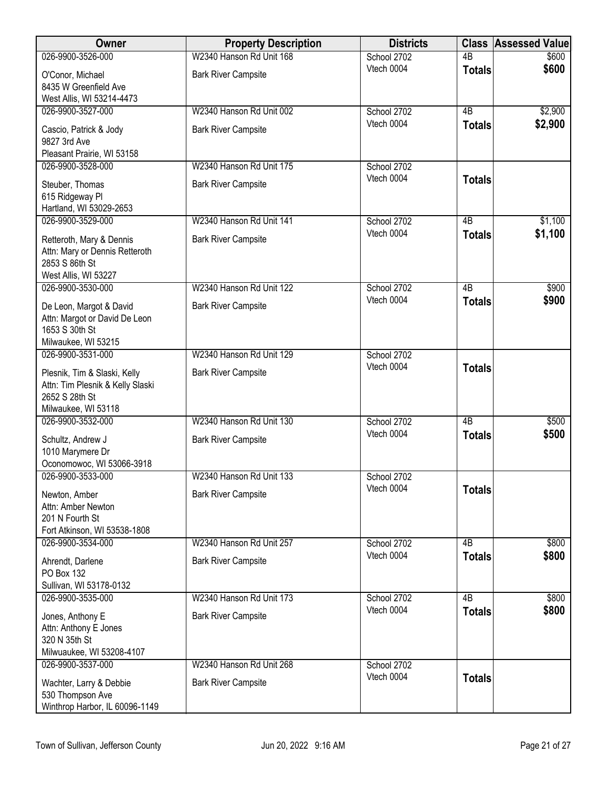| Owner                                                            | <b>Property Description</b> | <b>Districts</b>          | <b>Class</b>    | <b>Assessed Value</b> |
|------------------------------------------------------------------|-----------------------------|---------------------------|-----------------|-----------------------|
| 026-9900-3526-000                                                | W2340 Hanson Rd Unit 168    | School 2702               | 4 <sub>B</sub>  | \$600                 |
| O'Conor, Michael                                                 | <b>Bark River Campsite</b>  | Vtech 0004                | <b>Totals</b>   | \$600                 |
| 8435 W Greenfield Ave                                            |                             |                           |                 |                       |
| West Allis, WI 53214-4473                                        |                             |                           |                 |                       |
| 026-9900-3527-000                                                | W2340 Hanson Rd Unit 002    | School 2702<br>Vtech 0004 | $\overline{AB}$ | \$2,900<br>\$2,900    |
| Cascio, Patrick & Jody                                           | <b>Bark River Campsite</b>  |                           | <b>Totals</b>   |                       |
| 9827 3rd Ave                                                     |                             |                           |                 |                       |
| Pleasant Prairie, WI 53158<br>026-9900-3528-000                  | W2340 Hanson Rd Unit 175    | School 2702               |                 |                       |
|                                                                  |                             | Vtech 0004                | <b>Totals</b>   |                       |
| Steuber, Thomas                                                  | <b>Bark River Campsite</b>  |                           |                 |                       |
| 615 Ridgeway Pl<br>Hartland, WI 53029-2653                       |                             |                           |                 |                       |
| 026-9900-3529-000                                                | W2340 Hanson Rd Unit 141    | School 2702               | $\overline{AB}$ | \$1,100               |
| Retteroth, Mary & Dennis                                         | <b>Bark River Campsite</b>  | Vtech 0004                | <b>Totals</b>   | \$1,100               |
| Attn: Mary or Dennis Retteroth                                   |                             |                           |                 |                       |
| 2853 S 86th St                                                   |                             |                           |                 |                       |
| West Allis, WI 53227                                             |                             |                           |                 |                       |
| 026-9900-3530-000                                                | W2340 Hanson Rd Unit 122    | School 2702               | 4B              | \$900                 |
| De Leon, Margot & David                                          | <b>Bark River Campsite</b>  | Vtech 0004                | <b>Totals</b>   | \$900                 |
| Attn: Margot or David De Leon                                    |                             |                           |                 |                       |
| 1653 S 30th St                                                   |                             |                           |                 |                       |
| Milwaukee, WI 53215<br>026-9900-3531-000                         | W2340 Hanson Rd Unit 129    | School 2702               |                 |                       |
|                                                                  |                             | Vtech 0004                | <b>Totals</b>   |                       |
| Plesnik, Tim & Slaski, Kelly<br>Attn: Tim Plesnik & Kelly Slaski | <b>Bark River Campsite</b>  |                           |                 |                       |
| 2652 S 28th St                                                   |                             |                           |                 |                       |
| Milwaukee, WI 53118                                              |                             |                           |                 |                       |
| 026-9900-3532-000                                                | W2340 Hanson Rd Unit 130    | School 2702               | $\overline{AB}$ | \$500                 |
| Schultz, Andrew J                                                | <b>Bark River Campsite</b>  | Vtech 0004                | <b>Totals</b>   | \$500                 |
| 1010 Marymere Dr                                                 |                             |                           |                 |                       |
| Oconomowoc, WI 53066-3918                                        |                             |                           |                 |                       |
| 026-9900-3533-000                                                | W2340 Hanson Rd Unit 133    | School 2702<br>Vtech 0004 |                 |                       |
| Newton, Amber                                                    | <b>Bark River Campsite</b>  |                           | <b>Totals</b>   |                       |
| Attn: Amber Newton                                               |                             |                           |                 |                       |
| 201 N Fourth St<br>Fort Atkinson, WI 53538-1808                  |                             |                           |                 |                       |
| 026-9900-3534-000                                                | W2340 Hanson Rd Unit 257    | School 2702               | 4B              | \$800                 |
| Ahrendt, Darlene                                                 | <b>Bark River Campsite</b>  | Vtech 0004                | <b>Totals</b>   | \$800                 |
| <b>PO Box 132</b>                                                |                             |                           |                 |                       |
| Sullivan, WI 53178-0132                                          |                             |                           |                 |                       |
| 026-9900-3535-000                                                | W2340 Hanson Rd Unit 173    | School 2702               | 4B              | \$800                 |
| Jones, Anthony E                                                 | <b>Bark River Campsite</b>  | Vtech 0004                | <b>Totals</b>   | \$800                 |
| Attn: Anthony E Jones                                            |                             |                           |                 |                       |
| 320 N 35th St                                                    |                             |                           |                 |                       |
| Milwuaukee, WI 53208-4107                                        |                             |                           |                 |                       |
| 026-9900-3537-000                                                | W2340 Hanson Rd Unit 268    | School 2702<br>Vtech 0004 | <b>Totals</b>   |                       |
| Wachter, Larry & Debbie                                          | <b>Bark River Campsite</b>  |                           |                 |                       |
| 530 Thompson Ave<br>Winthrop Harbor, IL 60096-1149               |                             |                           |                 |                       |
|                                                                  |                             |                           |                 |                       |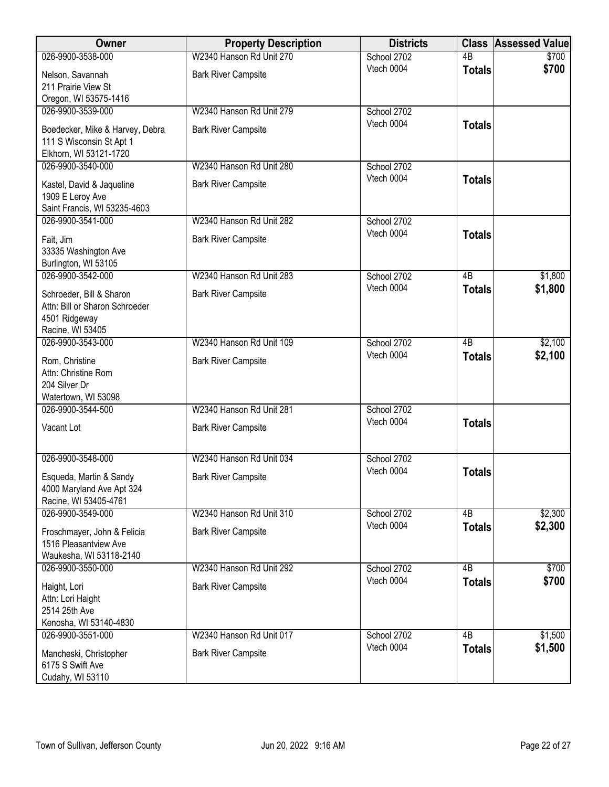| Owner                                            | <b>Property Description</b> | <b>Districts</b>          |                 | <b>Class Assessed Value</b> |
|--------------------------------------------------|-----------------------------|---------------------------|-----------------|-----------------------------|
| 026-9900-3538-000                                | W2340 Hanson Rd Unit 270    | School 2702               | $\overline{AB}$ | \$700                       |
| Nelson, Savannah                                 | <b>Bark River Campsite</b>  | Vtech 0004                | <b>Totals</b>   | \$700                       |
| 211 Prairie View St                              |                             |                           |                 |                             |
| Oregon, WI 53575-1416                            |                             |                           |                 |                             |
| 026-9900-3539-000                                | W2340 Hanson Rd Unit 279    | School 2702<br>Vtech 0004 |                 |                             |
| Boedecker, Mike & Harvey, Debra                  | <b>Bark River Campsite</b>  |                           | <b>Totals</b>   |                             |
| 111 S Wisconsin St Apt 1                         |                             |                           |                 |                             |
| Elkhorn, WI 53121-1720                           |                             |                           |                 |                             |
| 026-9900-3540-000                                | W2340 Hanson Rd Unit 280    | School 2702               |                 |                             |
| Kastel, David & Jaqueline                        | <b>Bark River Campsite</b>  | Vtech 0004                | <b>Totals</b>   |                             |
| 1909 E Leroy Ave<br>Saint Francis, WI 53235-4603 |                             |                           |                 |                             |
| 026-9900-3541-000                                | W2340 Hanson Rd Unit 282    | School 2702               |                 |                             |
|                                                  |                             | Vtech 0004                | <b>Totals</b>   |                             |
| Fait, Jim                                        | <b>Bark River Campsite</b>  |                           |                 |                             |
| 33335 Washington Ave                             |                             |                           |                 |                             |
| Burlington, WI 53105<br>026-9900-3542-000        | W2340 Hanson Rd Unit 283    | School 2702               | $\overline{AB}$ | \$1,800                     |
|                                                  |                             | Vtech 0004                | <b>Totals</b>   | \$1,800                     |
| Schroeder, Bill & Sharon                         | <b>Bark River Campsite</b>  |                           |                 |                             |
| Attn: Bill or Sharon Schroeder                   |                             |                           |                 |                             |
| 4501 Ridgeway<br>Racine, WI 53405                |                             |                           |                 |                             |
| 026-9900-3543-000                                | W2340 Hanson Rd Unit 109    | School 2702               | $\overline{AB}$ | \$2,100                     |
|                                                  |                             | Vtech 0004                | <b>Totals</b>   | \$2,100                     |
| Rom, Christine<br>Attn: Christine Rom            | <b>Bark River Campsite</b>  |                           |                 |                             |
| 204 Silver Dr                                    |                             |                           |                 |                             |
| Watertown, WI 53098                              |                             |                           |                 |                             |
| 026-9900-3544-500                                | W2340 Hanson Rd Unit 281    | School 2702               |                 |                             |
| Vacant Lot                                       | <b>Bark River Campsite</b>  | Vtech 0004                | <b>Totals</b>   |                             |
|                                                  |                             |                           |                 |                             |
|                                                  |                             |                           |                 |                             |
| 026-9900-3548-000                                | W2340 Hanson Rd Unit 034    | School 2702<br>Vtech 0004 |                 |                             |
| Esqueda, Martin & Sandy                          | <b>Bark River Campsite</b>  |                           | <b>Totals</b>   |                             |
| 4000 Maryland Ave Apt 324                        |                             |                           |                 |                             |
| Racine, WI 53405-4761                            |                             |                           |                 |                             |
| 026-9900-3549-000                                | W2340 Hanson Rd Unit 310    | School 2702<br>Vtech 0004 | 4B              | \$2,300                     |
| Froschmayer, John & Felicia                      | <b>Bark River Campsite</b>  |                           | <b>Totals</b>   | \$2,300                     |
| 1516 Pleasantview Ave                            |                             |                           |                 |                             |
| Waukesha, WI 53118-2140                          |                             |                           |                 |                             |
| 026-9900-3550-000                                | W2340 Hanson Rd Unit 292    | School 2702<br>Vtech 0004 | 4B              | \$700                       |
| Haight, Lori                                     | <b>Bark River Campsite</b>  |                           | <b>Totals</b>   | \$700                       |
| Attn: Lori Haight                                |                             |                           |                 |                             |
| 2514 25th Ave                                    |                             |                           |                 |                             |
| Kenosha, WI 53140-4830<br>026-9900-3551-000      | W2340 Hanson Rd Unit 017    |                           | 4B              |                             |
|                                                  |                             | School 2702<br>Vtech 0004 |                 | \$1,500<br>\$1,500          |
| Mancheski, Christopher                           | <b>Bark River Campsite</b>  |                           | <b>Totals</b>   |                             |
| 6175 S Swift Ave                                 |                             |                           |                 |                             |
| Cudahy, WI 53110                                 |                             |                           |                 |                             |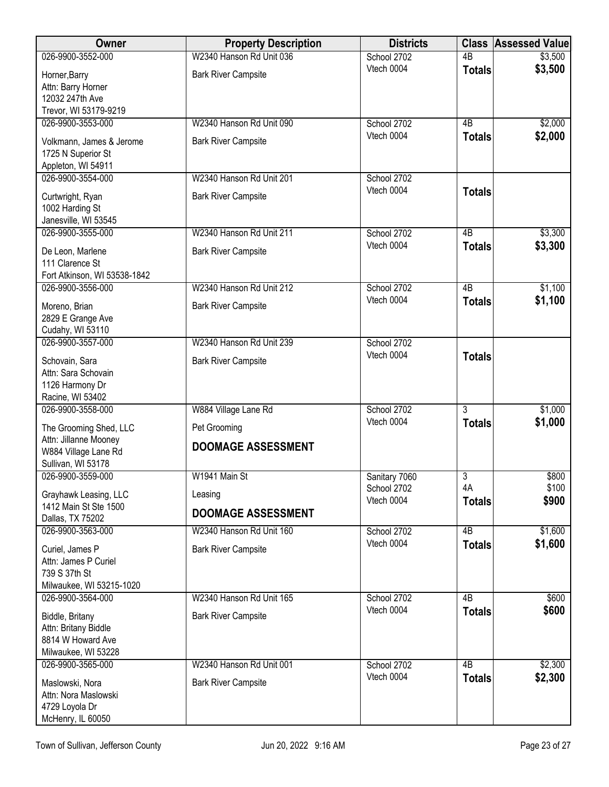| <b>Owner</b>                              | <b>Property Description</b> | <b>Districts</b>             | <b>Class</b>    | <b>Assessed Value</b> |
|-------------------------------------------|-----------------------------|------------------------------|-----------------|-----------------------|
| 026-9900-3552-000                         | W2340 Hanson Rd Unit 036    | School 2702                  | 4 <sub>B</sub>  | \$3,500               |
| Horner, Barry                             | <b>Bark River Campsite</b>  | Vtech 0004                   | <b>Totals</b>   | \$3,500               |
| Attn: Barry Horner                        |                             |                              |                 |                       |
| 12032 247th Ave                           |                             |                              |                 |                       |
| Trevor, WI 53179-9219                     |                             |                              |                 |                       |
| 026-9900-3553-000                         | W2340 Hanson Rd Unit 090    | School 2702<br>Vtech 0004    | 4B              | \$2,000               |
| Volkmann, James & Jerome                  | <b>Bark River Campsite</b>  |                              | <b>Totals</b>   | \$2,000               |
| 1725 N Superior St                        |                             |                              |                 |                       |
| Appleton, WI 54911<br>026-9900-3554-000   | W2340 Hanson Rd Unit 201    |                              |                 |                       |
|                                           |                             | School 2702<br>Vtech 0004    | <b>Totals</b>   |                       |
| Curtwright, Ryan                          | <b>Bark River Campsite</b>  |                              |                 |                       |
| 1002 Harding St                           |                             |                              |                 |                       |
| Janesville, WI 53545<br>026-9900-3555-000 | W2340 Hanson Rd Unit 211    | School 2702                  | $\overline{AB}$ | \$3,300               |
|                                           |                             | Vtech 0004                   | <b>Totals</b>   | \$3,300               |
| De Leon, Marlene<br>111 Clarence St       | <b>Bark River Campsite</b>  |                              |                 |                       |
| Fort Atkinson, WI 53538-1842              |                             |                              |                 |                       |
| 026-9900-3556-000                         | W2340 Hanson Rd Unit 212    | School 2702                  | 4B              | \$1,100               |
|                                           |                             | Vtech 0004                   | <b>Totals</b>   | \$1,100               |
| Moreno, Brian<br>2829 E Grange Ave        | <b>Bark River Campsite</b>  |                              |                 |                       |
| Cudahy, WI 53110                          |                             |                              |                 |                       |
| 026-9900-3557-000                         | W2340 Hanson Rd Unit 239    | School 2702                  |                 |                       |
| Schovain, Sara                            | <b>Bark River Campsite</b>  | Vtech 0004                   | <b>Totals</b>   |                       |
| Attn: Sara Schovain                       |                             |                              |                 |                       |
| 1126 Harmony Dr                           |                             |                              |                 |                       |
| Racine, WI 53402                          |                             |                              |                 |                       |
| 026-9900-3558-000                         | W884 Village Lane Rd        | School 2702                  | $\overline{3}$  | \$1,000               |
| The Grooming Shed, LLC                    | Pet Grooming                | Vtech 0004                   | <b>Totals</b>   | \$1,000               |
| Attn: Jillanne Mooney                     | <b>DOOMAGE ASSESSMENT</b>   |                              |                 |                       |
| W884 Village Lane Rd                      |                             |                              |                 |                       |
| Sullivan, WI 53178                        |                             |                              |                 |                       |
| 026-9900-3559-000                         | W1941 Main St               | Sanitary 7060<br>School 2702 | 3<br>4A         | \$800<br>\$100        |
| Grayhawk Leasing, LLC                     | Leasing                     | Vtech 0004                   | <b>Totals</b>   | \$900                 |
| 1412 Main St Ste 1500<br>Dallas, TX 75202 | <b>DOOMAGE ASSESSMENT</b>   |                              |                 |                       |
| 026-9900-3563-000                         | W2340 Hanson Rd Unit 160    | School 2702                  | 4B              | \$1,600               |
|                                           |                             | Vtech 0004                   | <b>Totals</b>   | \$1,600               |
| Curiel, James P<br>Attn: James P Curiel   | <b>Bark River Campsite</b>  |                              |                 |                       |
| 739 S 37th St                             |                             |                              |                 |                       |
| Milwaukee, WI 53215-1020                  |                             |                              |                 |                       |
| 026-9900-3564-000                         | W2340 Hanson Rd Unit 165    | School 2702                  | 4B              | \$600                 |
| Biddle, Britany                           | <b>Bark River Campsite</b>  | Vtech 0004                   | <b>Totals</b>   | \$600                 |
| Attn: Britany Biddle                      |                             |                              |                 |                       |
| 8814 W Howard Ave                         |                             |                              |                 |                       |
| Milwaukee, WI 53228                       |                             |                              |                 |                       |
| 026-9900-3565-000                         | W2340 Hanson Rd Unit 001    | School 2702                  | $\overline{AB}$ | \$2,300               |
| Maslowski, Nora                           | <b>Bark River Campsite</b>  | Vtech 0004                   | <b>Totals</b>   | \$2,300               |
| Attn: Nora Maslowski                      |                             |                              |                 |                       |
| 4729 Loyola Dr                            |                             |                              |                 |                       |
| McHenry, IL 60050                         |                             |                              |                 |                       |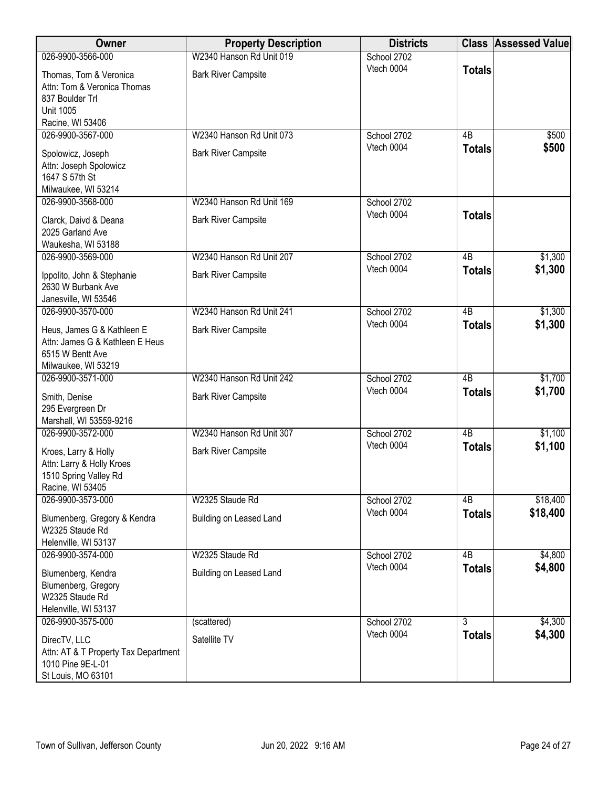| Owner                                                                                                            | <b>Property Description</b> | <b>Districts</b> |                 | <b>Class Assessed Value</b> |
|------------------------------------------------------------------------------------------------------------------|-----------------------------|------------------|-----------------|-----------------------------|
| 026-9900-3566-000                                                                                                | W2340 Hanson Rd Unit 019    | School 2702      |                 |                             |
| Thomas, Tom & Veronica<br>Attn: Tom & Veronica Thomas<br>837 Boulder Trl<br><b>Unit 1005</b><br>Racine, WI 53406 | <b>Bark River Campsite</b>  | Vtech 0004       | <b>Totals</b>   |                             |
| 026-9900-3567-000                                                                                                | W2340 Hanson Rd Unit 073    | School 2702      | 4B              | \$500                       |
| Spolowicz, Joseph<br>Attn: Joseph Spolowicz<br>1647 S 57th St<br>Milwaukee, WI 53214                             | <b>Bark River Campsite</b>  | Vtech 0004       | <b>Totals</b>   | \$500                       |
| 026-9900-3568-000                                                                                                | W2340 Hanson Rd Unit 169    | School 2702      |                 |                             |
| Clarck, Daivd & Deana<br>2025 Garland Ave<br>Waukesha, WI 53188                                                  | <b>Bark River Campsite</b>  | Vtech 0004       | <b>Totals</b>   |                             |
| 026-9900-3569-000                                                                                                | W2340 Hanson Rd Unit 207    | School 2702      | $\overline{AB}$ | \$1,300                     |
| Ippolito, John & Stephanie<br>2630 W Burbank Ave<br>Janesville, WI 53546                                         | <b>Bark River Campsite</b>  | Vtech 0004       | <b>Totals</b>   | \$1,300                     |
| 026-9900-3570-000                                                                                                | W2340 Hanson Rd Unit 241    | School 2702      | $\overline{AB}$ | \$1,300                     |
| Heus, James G & Kathleen E<br>Attn: James G & Kathleen E Heus<br>6515 W Bentt Ave<br>Milwaukee, WI 53219         | <b>Bark River Campsite</b>  | Vtech 0004       | <b>Totals</b>   | \$1,300                     |
| 026-9900-3571-000                                                                                                | W2340 Hanson Rd Unit 242    | School 2702      | $\overline{AB}$ | \$1,700                     |
| Smith, Denise<br>295 Evergreen Dr<br>Marshall, WI 53559-9216                                                     | <b>Bark River Campsite</b>  | Vtech 0004       | <b>Totals</b>   | \$1,700                     |
| 026-9900-3572-000                                                                                                | W2340 Hanson Rd Unit 307    | School 2702      | $\overline{AB}$ | \$1,100                     |
| Kroes, Larry & Holly<br>Attn: Larry & Holly Kroes<br>1510 Spring Valley Rd<br>Racine, WI 53405                   | <b>Bark River Campsite</b>  | Vtech 0004       | <b>Totals</b>   | \$1,100                     |
| 026-9900-3573-000                                                                                                | W2325 Staude Rd             | School 2702      | 4B              | \$18,400                    |
| Blumenberg, Gregory & Kendra<br>W2325 Staude Rd<br>Helenville, WI 53137                                          | Building on Leased Land     | Vtech 0004       | <b>Totals</b>   | \$18,400                    |
| 026-9900-3574-000                                                                                                | W2325 Staude Rd             | School 2702      | 4B              | \$4,800                     |
| Blumenberg, Kendra<br>Blumenberg, Gregory<br>W2325 Staude Rd<br>Helenville, WI 53137                             | Building on Leased Land     | Vtech 0004       | <b>Totals</b>   | \$4,800                     |
| 026-9900-3575-000                                                                                                | (scattered)                 | School 2702      | $\overline{3}$  | \$4,300                     |
| DirecTV, LLC<br>Attn: AT & T Property Tax Department<br>1010 Pine 9E-L-01<br>St Louis, MO 63101                  | Satellite TV                | Vtech 0004       | <b>Totals</b>   | \$4,300                     |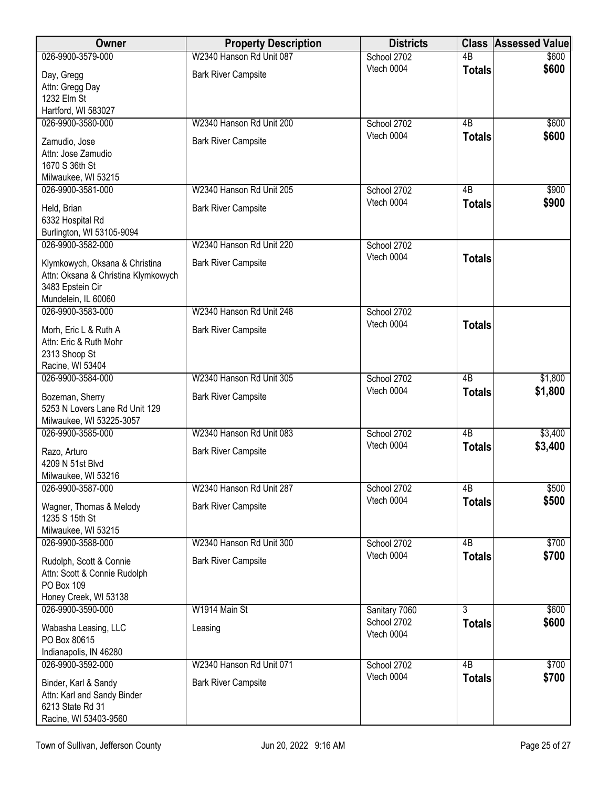| 4B<br>\$600<br>Vtech 0004<br><b>Totals</b><br><b>Bark River Campsite</b><br>Day, Gregg<br>Attn: Gregg Day<br>1232 Elm St<br>Hartford, WI 583027<br>026-9900-3580-000<br>W2340 Hanson Rd Unit 200<br>School 2702<br>4B<br>\$600<br>Vtech 0004<br>\$600<br><b>Totals</b><br><b>Bark River Campsite</b><br>Zamudio, Jose<br>Attn: Jose Zamudio<br>1670 S 36th St<br>Milwaukee, WI 53215<br>W2340 Hanson Rd Unit 205<br>026-9900-3581-000<br>School 2702<br>4B<br>\$900<br>Vtech 0004<br>\$900<br><b>Totals</b><br><b>Bark River Campsite</b><br>Held, Brian<br>6332 Hospital Rd<br>Burlington, WI 53105-9094<br>026-9900-3582-000<br>W2340 Hanson Rd Unit 220<br>School 2702<br>Vtech 0004<br><b>Totals</b><br>Klymkowych, Oksana & Christina<br><b>Bark River Campsite</b><br>Attn: Oksana & Christina Klymkowych<br>3483 Epstein Cir<br>Mundelein, IL 60060<br>W2340 Hanson Rd Unit 248<br>School 2702<br>026-9900-3583-000<br>Vtech 0004<br><b>Totals</b><br><b>Bark River Campsite</b><br>Morh, Eric L & Ruth A<br>Attn: Eric & Ruth Mohr<br>2313 Shoop St<br>Racine, WI 53404<br>W2340 Hanson Rd Unit 305<br>026-9900-3584-000<br>4B<br>\$1,800<br>School 2702<br>Vtech 0004<br>\$1,800<br><b>Totals</b><br><b>Bark River Campsite</b><br>Bozeman, Sherry<br>5253 N Lovers Lane Rd Unit 129<br>Milwaukee, WI 53225-3057<br>$\overline{AB}$<br>\$3,400<br>026-9900-3585-000<br>W2340 Hanson Rd Unit 083<br>School 2702<br>\$3,400<br>Vtech 0004<br><b>Totals</b><br><b>Bark River Campsite</b><br>Razo, Arturo<br>4209 N 51st Blvd<br>Milwaukee, WI 53216<br>026-9900-3587-000<br>W2340 Hanson Rd Unit 287<br>4B<br>\$500<br>School 2702<br>\$500<br>Vtech 0004<br><b>Totals</b><br><b>Bark River Campsite</b><br>Wagner, Thomas & Melody<br>1235 S 15th St<br>Milwaukee, WI 53215<br>026-9900-3588-000<br>W2340 Hanson Rd Unit 300<br>4B<br>\$700<br>School 2702<br>\$700<br>Vtech 0004<br><b>Totals</b><br><b>Bark River Campsite</b><br>Rudolph, Scott & Connie<br>Attn: Scott & Connie Rudolph<br>PO Box 109<br>Honey Creek, WI 53138<br>W1914 Main St<br>$\overline{3}$<br>\$600<br>026-9900-3590-000<br>Sanitary 7060<br>School 2702<br>\$600<br><b>Totals</b><br>Wabasha Leasing, LLC<br>Leasing<br>Vtech 0004<br>PO Box 80615<br>Indianapolis, IN 46280<br>W2340 Hanson Rd Unit 071<br>4B<br>\$700<br>026-9900-3592-000<br>School 2702<br>\$700<br>Vtech 0004<br><b>Totals</b><br><b>Bark River Campsite</b> | Owner                | <b>Property Description</b> | <b>Districts</b> | <b>Class</b> | <b>Assessed Value</b> |
|-----------------------------------------------------------------------------------------------------------------------------------------------------------------------------------------------------------------------------------------------------------------------------------------------------------------------------------------------------------------------------------------------------------------------------------------------------------------------------------------------------------------------------------------------------------------------------------------------------------------------------------------------------------------------------------------------------------------------------------------------------------------------------------------------------------------------------------------------------------------------------------------------------------------------------------------------------------------------------------------------------------------------------------------------------------------------------------------------------------------------------------------------------------------------------------------------------------------------------------------------------------------------------------------------------------------------------------------------------------------------------------------------------------------------------------------------------------------------------------------------------------------------------------------------------------------------------------------------------------------------------------------------------------------------------------------------------------------------------------------------------------------------------------------------------------------------------------------------------------------------------------------------------------------------------------------------------------------------------------------------------------------------------------------------------------------------------------------------------------------------------------------------------------------------------------------------------------------------------------------------------------------------------------------------------------------------------------------------------------------------------------------------------------------------|----------------------|-----------------------------|------------------|--------------|-----------------------|
|                                                                                                                                                                                                                                                                                                                                                                                                                                                                                                                                                                                                                                                                                                                                                                                                                                                                                                                                                                                                                                                                                                                                                                                                                                                                                                                                                                                                                                                                                                                                                                                                                                                                                                                                                                                                                                                                                                                                                                                                                                                                                                                                                                                                                                                                                                                                                                                                                       | 026-9900-3579-000    | W2340 Hanson Rd Unit 087    | School 2702      |              | \$600                 |
|                                                                                                                                                                                                                                                                                                                                                                                                                                                                                                                                                                                                                                                                                                                                                                                                                                                                                                                                                                                                                                                                                                                                                                                                                                                                                                                                                                                                                                                                                                                                                                                                                                                                                                                                                                                                                                                                                                                                                                                                                                                                                                                                                                                                                                                                                                                                                                                                                       |                      |                             |                  |              |                       |
|                                                                                                                                                                                                                                                                                                                                                                                                                                                                                                                                                                                                                                                                                                                                                                                                                                                                                                                                                                                                                                                                                                                                                                                                                                                                                                                                                                                                                                                                                                                                                                                                                                                                                                                                                                                                                                                                                                                                                                                                                                                                                                                                                                                                                                                                                                                                                                                                                       |                      |                             |                  |              |                       |
|                                                                                                                                                                                                                                                                                                                                                                                                                                                                                                                                                                                                                                                                                                                                                                                                                                                                                                                                                                                                                                                                                                                                                                                                                                                                                                                                                                                                                                                                                                                                                                                                                                                                                                                                                                                                                                                                                                                                                                                                                                                                                                                                                                                                                                                                                                                                                                                                                       |                      |                             |                  |              |                       |
|                                                                                                                                                                                                                                                                                                                                                                                                                                                                                                                                                                                                                                                                                                                                                                                                                                                                                                                                                                                                                                                                                                                                                                                                                                                                                                                                                                                                                                                                                                                                                                                                                                                                                                                                                                                                                                                                                                                                                                                                                                                                                                                                                                                                                                                                                                                                                                                                                       |                      |                             |                  |              |                       |
|                                                                                                                                                                                                                                                                                                                                                                                                                                                                                                                                                                                                                                                                                                                                                                                                                                                                                                                                                                                                                                                                                                                                                                                                                                                                                                                                                                                                                                                                                                                                                                                                                                                                                                                                                                                                                                                                                                                                                                                                                                                                                                                                                                                                                                                                                                                                                                                                                       |                      |                             |                  |              |                       |
|                                                                                                                                                                                                                                                                                                                                                                                                                                                                                                                                                                                                                                                                                                                                                                                                                                                                                                                                                                                                                                                                                                                                                                                                                                                                                                                                                                                                                                                                                                                                                                                                                                                                                                                                                                                                                                                                                                                                                                                                                                                                                                                                                                                                                                                                                                                                                                                                                       |                      |                             |                  |              |                       |
|                                                                                                                                                                                                                                                                                                                                                                                                                                                                                                                                                                                                                                                                                                                                                                                                                                                                                                                                                                                                                                                                                                                                                                                                                                                                                                                                                                                                                                                                                                                                                                                                                                                                                                                                                                                                                                                                                                                                                                                                                                                                                                                                                                                                                                                                                                                                                                                                                       |                      |                             |                  |              |                       |
|                                                                                                                                                                                                                                                                                                                                                                                                                                                                                                                                                                                                                                                                                                                                                                                                                                                                                                                                                                                                                                                                                                                                                                                                                                                                                                                                                                                                                                                                                                                                                                                                                                                                                                                                                                                                                                                                                                                                                                                                                                                                                                                                                                                                                                                                                                                                                                                                                       |                      |                             |                  |              |                       |
|                                                                                                                                                                                                                                                                                                                                                                                                                                                                                                                                                                                                                                                                                                                                                                                                                                                                                                                                                                                                                                                                                                                                                                                                                                                                                                                                                                                                                                                                                                                                                                                                                                                                                                                                                                                                                                                                                                                                                                                                                                                                                                                                                                                                                                                                                                                                                                                                                       |                      |                             |                  |              |                       |
|                                                                                                                                                                                                                                                                                                                                                                                                                                                                                                                                                                                                                                                                                                                                                                                                                                                                                                                                                                                                                                                                                                                                                                                                                                                                                                                                                                                                                                                                                                                                                                                                                                                                                                                                                                                                                                                                                                                                                                                                                                                                                                                                                                                                                                                                                                                                                                                                                       |                      |                             |                  |              |                       |
|                                                                                                                                                                                                                                                                                                                                                                                                                                                                                                                                                                                                                                                                                                                                                                                                                                                                                                                                                                                                                                                                                                                                                                                                                                                                                                                                                                                                                                                                                                                                                                                                                                                                                                                                                                                                                                                                                                                                                                                                                                                                                                                                                                                                                                                                                                                                                                                                                       |                      |                             |                  |              |                       |
|                                                                                                                                                                                                                                                                                                                                                                                                                                                                                                                                                                                                                                                                                                                                                                                                                                                                                                                                                                                                                                                                                                                                                                                                                                                                                                                                                                                                                                                                                                                                                                                                                                                                                                                                                                                                                                                                                                                                                                                                                                                                                                                                                                                                                                                                                                                                                                                                                       |                      |                             |                  |              |                       |
|                                                                                                                                                                                                                                                                                                                                                                                                                                                                                                                                                                                                                                                                                                                                                                                                                                                                                                                                                                                                                                                                                                                                                                                                                                                                                                                                                                                                                                                                                                                                                                                                                                                                                                                                                                                                                                                                                                                                                                                                                                                                                                                                                                                                                                                                                                                                                                                                                       |                      |                             |                  |              |                       |
|                                                                                                                                                                                                                                                                                                                                                                                                                                                                                                                                                                                                                                                                                                                                                                                                                                                                                                                                                                                                                                                                                                                                                                                                                                                                                                                                                                                                                                                                                                                                                                                                                                                                                                                                                                                                                                                                                                                                                                                                                                                                                                                                                                                                                                                                                                                                                                                                                       |                      |                             |                  |              |                       |
|                                                                                                                                                                                                                                                                                                                                                                                                                                                                                                                                                                                                                                                                                                                                                                                                                                                                                                                                                                                                                                                                                                                                                                                                                                                                                                                                                                                                                                                                                                                                                                                                                                                                                                                                                                                                                                                                                                                                                                                                                                                                                                                                                                                                                                                                                                                                                                                                                       |                      |                             |                  |              |                       |
|                                                                                                                                                                                                                                                                                                                                                                                                                                                                                                                                                                                                                                                                                                                                                                                                                                                                                                                                                                                                                                                                                                                                                                                                                                                                                                                                                                                                                                                                                                                                                                                                                                                                                                                                                                                                                                                                                                                                                                                                                                                                                                                                                                                                                                                                                                                                                                                                                       |                      |                             |                  |              |                       |
|                                                                                                                                                                                                                                                                                                                                                                                                                                                                                                                                                                                                                                                                                                                                                                                                                                                                                                                                                                                                                                                                                                                                                                                                                                                                                                                                                                                                                                                                                                                                                                                                                                                                                                                                                                                                                                                                                                                                                                                                                                                                                                                                                                                                                                                                                                                                                                                                                       |                      |                             |                  |              |                       |
|                                                                                                                                                                                                                                                                                                                                                                                                                                                                                                                                                                                                                                                                                                                                                                                                                                                                                                                                                                                                                                                                                                                                                                                                                                                                                                                                                                                                                                                                                                                                                                                                                                                                                                                                                                                                                                                                                                                                                                                                                                                                                                                                                                                                                                                                                                                                                                                                                       |                      |                             |                  |              |                       |
|                                                                                                                                                                                                                                                                                                                                                                                                                                                                                                                                                                                                                                                                                                                                                                                                                                                                                                                                                                                                                                                                                                                                                                                                                                                                                                                                                                                                                                                                                                                                                                                                                                                                                                                                                                                                                                                                                                                                                                                                                                                                                                                                                                                                                                                                                                                                                                                                                       |                      |                             |                  |              |                       |
|                                                                                                                                                                                                                                                                                                                                                                                                                                                                                                                                                                                                                                                                                                                                                                                                                                                                                                                                                                                                                                                                                                                                                                                                                                                                                                                                                                                                                                                                                                                                                                                                                                                                                                                                                                                                                                                                                                                                                                                                                                                                                                                                                                                                                                                                                                                                                                                                                       |                      |                             |                  |              |                       |
|                                                                                                                                                                                                                                                                                                                                                                                                                                                                                                                                                                                                                                                                                                                                                                                                                                                                                                                                                                                                                                                                                                                                                                                                                                                                                                                                                                                                                                                                                                                                                                                                                                                                                                                                                                                                                                                                                                                                                                                                                                                                                                                                                                                                                                                                                                                                                                                                                       |                      |                             |                  |              |                       |
|                                                                                                                                                                                                                                                                                                                                                                                                                                                                                                                                                                                                                                                                                                                                                                                                                                                                                                                                                                                                                                                                                                                                                                                                                                                                                                                                                                                                                                                                                                                                                                                                                                                                                                                                                                                                                                                                                                                                                                                                                                                                                                                                                                                                                                                                                                                                                                                                                       |                      |                             |                  |              |                       |
|                                                                                                                                                                                                                                                                                                                                                                                                                                                                                                                                                                                                                                                                                                                                                                                                                                                                                                                                                                                                                                                                                                                                                                                                                                                                                                                                                                                                                                                                                                                                                                                                                                                                                                                                                                                                                                                                                                                                                                                                                                                                                                                                                                                                                                                                                                                                                                                                                       |                      |                             |                  |              |                       |
|                                                                                                                                                                                                                                                                                                                                                                                                                                                                                                                                                                                                                                                                                                                                                                                                                                                                                                                                                                                                                                                                                                                                                                                                                                                                                                                                                                                                                                                                                                                                                                                                                                                                                                                                                                                                                                                                                                                                                                                                                                                                                                                                                                                                                                                                                                                                                                                                                       |                      |                             |                  |              |                       |
|                                                                                                                                                                                                                                                                                                                                                                                                                                                                                                                                                                                                                                                                                                                                                                                                                                                                                                                                                                                                                                                                                                                                                                                                                                                                                                                                                                                                                                                                                                                                                                                                                                                                                                                                                                                                                                                                                                                                                                                                                                                                                                                                                                                                                                                                                                                                                                                                                       |                      |                             |                  |              |                       |
|                                                                                                                                                                                                                                                                                                                                                                                                                                                                                                                                                                                                                                                                                                                                                                                                                                                                                                                                                                                                                                                                                                                                                                                                                                                                                                                                                                                                                                                                                                                                                                                                                                                                                                                                                                                                                                                                                                                                                                                                                                                                                                                                                                                                                                                                                                                                                                                                                       |                      |                             |                  |              |                       |
|                                                                                                                                                                                                                                                                                                                                                                                                                                                                                                                                                                                                                                                                                                                                                                                                                                                                                                                                                                                                                                                                                                                                                                                                                                                                                                                                                                                                                                                                                                                                                                                                                                                                                                                                                                                                                                                                                                                                                                                                                                                                                                                                                                                                                                                                                                                                                                                                                       |                      |                             |                  |              |                       |
|                                                                                                                                                                                                                                                                                                                                                                                                                                                                                                                                                                                                                                                                                                                                                                                                                                                                                                                                                                                                                                                                                                                                                                                                                                                                                                                                                                                                                                                                                                                                                                                                                                                                                                                                                                                                                                                                                                                                                                                                                                                                                                                                                                                                                                                                                                                                                                                                                       |                      |                             |                  |              |                       |
|                                                                                                                                                                                                                                                                                                                                                                                                                                                                                                                                                                                                                                                                                                                                                                                                                                                                                                                                                                                                                                                                                                                                                                                                                                                                                                                                                                                                                                                                                                                                                                                                                                                                                                                                                                                                                                                                                                                                                                                                                                                                                                                                                                                                                                                                                                                                                                                                                       |                      |                             |                  |              |                       |
|                                                                                                                                                                                                                                                                                                                                                                                                                                                                                                                                                                                                                                                                                                                                                                                                                                                                                                                                                                                                                                                                                                                                                                                                                                                                                                                                                                                                                                                                                                                                                                                                                                                                                                                                                                                                                                                                                                                                                                                                                                                                                                                                                                                                                                                                                                                                                                                                                       |                      |                             |                  |              |                       |
|                                                                                                                                                                                                                                                                                                                                                                                                                                                                                                                                                                                                                                                                                                                                                                                                                                                                                                                                                                                                                                                                                                                                                                                                                                                                                                                                                                                                                                                                                                                                                                                                                                                                                                                                                                                                                                                                                                                                                                                                                                                                                                                                                                                                                                                                                                                                                                                                                       |                      |                             |                  |              |                       |
|                                                                                                                                                                                                                                                                                                                                                                                                                                                                                                                                                                                                                                                                                                                                                                                                                                                                                                                                                                                                                                                                                                                                                                                                                                                                                                                                                                                                                                                                                                                                                                                                                                                                                                                                                                                                                                                                                                                                                                                                                                                                                                                                                                                                                                                                                                                                                                                                                       |                      |                             |                  |              |                       |
|                                                                                                                                                                                                                                                                                                                                                                                                                                                                                                                                                                                                                                                                                                                                                                                                                                                                                                                                                                                                                                                                                                                                                                                                                                                                                                                                                                                                                                                                                                                                                                                                                                                                                                                                                                                                                                                                                                                                                                                                                                                                                                                                                                                                                                                                                                                                                                                                                       |                      |                             |                  |              |                       |
|                                                                                                                                                                                                                                                                                                                                                                                                                                                                                                                                                                                                                                                                                                                                                                                                                                                                                                                                                                                                                                                                                                                                                                                                                                                                                                                                                                                                                                                                                                                                                                                                                                                                                                                                                                                                                                                                                                                                                                                                                                                                                                                                                                                                                                                                                                                                                                                                                       |                      |                             |                  |              |                       |
|                                                                                                                                                                                                                                                                                                                                                                                                                                                                                                                                                                                                                                                                                                                                                                                                                                                                                                                                                                                                                                                                                                                                                                                                                                                                                                                                                                                                                                                                                                                                                                                                                                                                                                                                                                                                                                                                                                                                                                                                                                                                                                                                                                                                                                                                                                                                                                                                                       |                      |                             |                  |              |                       |
|                                                                                                                                                                                                                                                                                                                                                                                                                                                                                                                                                                                                                                                                                                                                                                                                                                                                                                                                                                                                                                                                                                                                                                                                                                                                                                                                                                                                                                                                                                                                                                                                                                                                                                                                                                                                                                                                                                                                                                                                                                                                                                                                                                                                                                                                                                                                                                                                                       |                      |                             |                  |              |                       |
|                                                                                                                                                                                                                                                                                                                                                                                                                                                                                                                                                                                                                                                                                                                                                                                                                                                                                                                                                                                                                                                                                                                                                                                                                                                                                                                                                                                                                                                                                                                                                                                                                                                                                                                                                                                                                                                                                                                                                                                                                                                                                                                                                                                                                                                                                                                                                                                                                       |                      |                             |                  |              |                       |
|                                                                                                                                                                                                                                                                                                                                                                                                                                                                                                                                                                                                                                                                                                                                                                                                                                                                                                                                                                                                                                                                                                                                                                                                                                                                                                                                                                                                                                                                                                                                                                                                                                                                                                                                                                                                                                                                                                                                                                                                                                                                                                                                                                                                                                                                                                                                                                                                                       |                      |                             |                  |              |                       |
|                                                                                                                                                                                                                                                                                                                                                                                                                                                                                                                                                                                                                                                                                                                                                                                                                                                                                                                                                                                                                                                                                                                                                                                                                                                                                                                                                                                                                                                                                                                                                                                                                                                                                                                                                                                                                                                                                                                                                                                                                                                                                                                                                                                                                                                                                                                                                                                                                       |                      |                             |                  |              |                       |
|                                                                                                                                                                                                                                                                                                                                                                                                                                                                                                                                                                                                                                                                                                                                                                                                                                                                                                                                                                                                                                                                                                                                                                                                                                                                                                                                                                                                                                                                                                                                                                                                                                                                                                                                                                                                                                                                                                                                                                                                                                                                                                                                                                                                                                                                                                                                                                                                                       |                      |                             |                  |              |                       |
|                                                                                                                                                                                                                                                                                                                                                                                                                                                                                                                                                                                                                                                                                                                                                                                                                                                                                                                                                                                                                                                                                                                                                                                                                                                                                                                                                                                                                                                                                                                                                                                                                                                                                                                                                                                                                                                                                                                                                                                                                                                                                                                                                                                                                                                                                                                                                                                                                       |                      |                             |                  |              |                       |
|                                                                                                                                                                                                                                                                                                                                                                                                                                                                                                                                                                                                                                                                                                                                                                                                                                                                                                                                                                                                                                                                                                                                                                                                                                                                                                                                                                                                                                                                                                                                                                                                                                                                                                                                                                                                                                                                                                                                                                                                                                                                                                                                                                                                                                                                                                                                                                                                                       |                      |                             |                  |              |                       |
|                                                                                                                                                                                                                                                                                                                                                                                                                                                                                                                                                                                                                                                                                                                                                                                                                                                                                                                                                                                                                                                                                                                                                                                                                                                                                                                                                                                                                                                                                                                                                                                                                                                                                                                                                                                                                                                                                                                                                                                                                                                                                                                                                                                                                                                                                                                                                                                                                       |                      |                             |                  |              |                       |
|                                                                                                                                                                                                                                                                                                                                                                                                                                                                                                                                                                                                                                                                                                                                                                                                                                                                                                                                                                                                                                                                                                                                                                                                                                                                                                                                                                                                                                                                                                                                                                                                                                                                                                                                                                                                                                                                                                                                                                                                                                                                                                                                                                                                                                                                                                                                                                                                                       |                      |                             |                  |              |                       |
|                                                                                                                                                                                                                                                                                                                                                                                                                                                                                                                                                                                                                                                                                                                                                                                                                                                                                                                                                                                                                                                                                                                                                                                                                                                                                                                                                                                                                                                                                                                                                                                                                                                                                                                                                                                                                                                                                                                                                                                                                                                                                                                                                                                                                                                                                                                                                                                                                       | Binder, Karl & Sandy |                             |                  |              |                       |
| Attn: Karl and Sandy Binder<br>6213 State Rd 31                                                                                                                                                                                                                                                                                                                                                                                                                                                                                                                                                                                                                                                                                                                                                                                                                                                                                                                                                                                                                                                                                                                                                                                                                                                                                                                                                                                                                                                                                                                                                                                                                                                                                                                                                                                                                                                                                                                                                                                                                                                                                                                                                                                                                                                                                                                                                                       |                      |                             |                  |              |                       |
| Racine, WI 53403-9560                                                                                                                                                                                                                                                                                                                                                                                                                                                                                                                                                                                                                                                                                                                                                                                                                                                                                                                                                                                                                                                                                                                                                                                                                                                                                                                                                                                                                                                                                                                                                                                                                                                                                                                                                                                                                                                                                                                                                                                                                                                                                                                                                                                                                                                                                                                                                                                                 |                      |                             |                  |              |                       |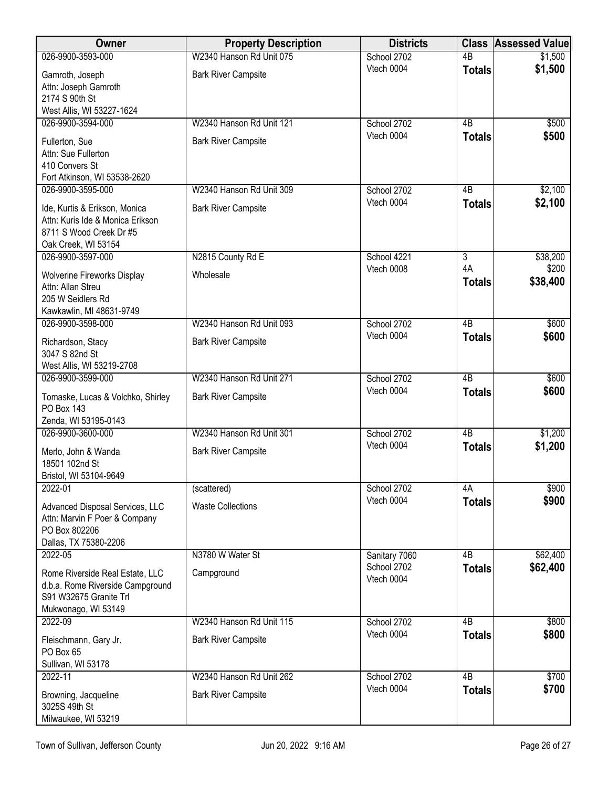| <b>Owner</b>                                                                                                         | <b>Property Description</b> | <b>Districts</b>          |                     | <b>Class Assessed Value</b> |
|----------------------------------------------------------------------------------------------------------------------|-----------------------------|---------------------------|---------------------|-----------------------------|
| 026-9900-3593-000                                                                                                    | W2340 Hanson Rd Unit 075    | School 2702               | $\overline{AB}$     | \$1,500                     |
| Gamroth, Joseph<br>Attn: Joseph Gamroth<br>2174 S 90th St                                                            | <b>Bark River Campsite</b>  | Vtech 0004                | <b>Totals</b>       | \$1,500                     |
| West Allis, WI 53227-1624                                                                                            |                             |                           |                     |                             |
| 026-9900-3594-000                                                                                                    | W2340 Hanson Rd Unit 121    | School 2702               | 4B                  | \$500                       |
| Fullerton, Sue<br>Attn: Sue Fullerton<br>410 Convers St<br>Fort Atkinson, WI 53538-2620                              | <b>Bark River Campsite</b>  | Vtech 0004                | <b>Totals</b>       | \$500                       |
| 026-9900-3595-000                                                                                                    | W2340 Hanson Rd Unit 309    | School 2702               | 4B                  | \$2,100                     |
| Ide, Kurtis & Erikson, Monica<br>Attn: Kuris Ide & Monica Erikson<br>8711 S Wood Creek Dr #5<br>Oak Creek, WI 53154  | <b>Bark River Campsite</b>  | Vtech 0004                | <b>Totals</b>       | \$2,100                     |
| 026-9900-3597-000                                                                                                    | N2815 County Rd E           | School 4221               | $\overline{3}$      | \$38,200                    |
| <b>Wolverine Fireworks Display</b><br>Attn: Allan Streu<br>205 W Seidlers Rd<br>Kawkawlin, MI 48631-9749             | Wholesale                   | Vtech 0008                | 4A<br><b>Totals</b> | \$200<br>\$38,400           |
| 026-9900-3598-000                                                                                                    | W2340 Hanson Rd Unit 093    | School 2702               | $\overline{AB}$     | \$600                       |
| Richardson, Stacy<br>3047 S 82nd St<br>West Allis, WI 53219-2708                                                     | <b>Bark River Campsite</b>  | Vtech 0004                | <b>Totals</b>       | \$600                       |
| 026-9900-3599-000                                                                                                    | W2340 Hanson Rd Unit 271    | School 2702               | $\overline{AB}$     | \$600                       |
| Tomaske, Lucas & Volchko, Shirley<br><b>PO Box 143</b><br>Zenda, WI 53195-0143                                       | <b>Bark River Campsite</b>  | Vtech 0004                | <b>Totals</b>       | \$600                       |
| 026-9900-3600-000                                                                                                    | W2340 Hanson Rd Unit 301    | School 2702               | $\overline{AB}$     | \$1,200                     |
| Merlo, John & Wanda<br>18501 102nd St<br>Bristol, WI 53104-9649                                                      | <b>Bark River Campsite</b>  | Vtech 0004                | <b>Totals</b>       | \$1,200                     |
| 2022-01                                                                                                              | (scattered)                 | School 2702               | 4A                  | \$900                       |
| Advanced Disposal Services, LLC<br>Attn: Marvin F Poer & Company<br>PO Box 802206<br>Dallas, TX 75380-2206           | <b>Waste Collections</b>    | Vtech 0004                | <b>Totals</b>       | \$900                       |
| 2022-05                                                                                                              | N3780 W Water St            | Sanitary 7060             | 4 <sub>B</sub>      | \$62,400                    |
| Rome Riverside Real Estate, LLC<br>d.b.a. Rome Riverside Campground<br>S91 W32675 Granite Trl<br>Mukwonago, WI 53149 | Campground                  | School 2702<br>Vtech 0004 | <b>Totals</b>       | \$62,400                    |
| 2022-09                                                                                                              | W2340 Hanson Rd Unit 115    | School 2702               | $\overline{AB}$     | \$800                       |
| Fleischmann, Gary Jr.<br>PO Box 65<br>Sullivan, WI 53178                                                             | <b>Bark River Campsite</b>  | Vtech 0004                | <b>Totals</b>       | \$800                       |
| 2022-11                                                                                                              | W2340 Hanson Rd Unit 262    | School 2702               | $\overline{AB}$     | \$700                       |
| Browning, Jacqueline<br>3025S 49th St<br>Milwaukee, WI 53219                                                         | <b>Bark River Campsite</b>  | Vtech 0004                | <b>Totals</b>       | \$700                       |